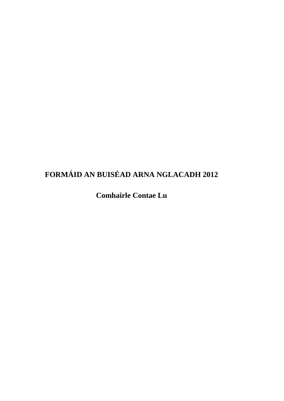## **FORMÁID AN BUISÉAD ARNA NGLACADH 2012**

**Comhairle Contae Lu**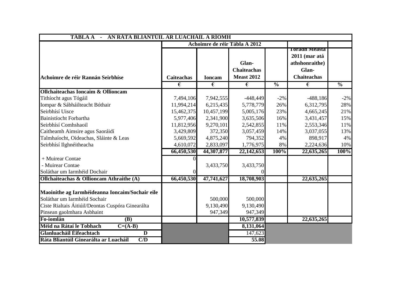| AN RÁTA BLIANTÚIL AR LUACHÁIL A RÍOMH<br><b>TÁBLA A</b>          |                   |               |                                                  |                          |                                                                                        |               |
|------------------------------------------------------------------|-------------------|---------------|--------------------------------------------------|--------------------------|----------------------------------------------------------------------------------------|---------------|
|                                                                  |                   |               | Achoimre de réir Tábla A 2012                    |                          |                                                                                        |               |
| Achoimre de réir Rannán Seirbhíse                                | <b>Caiteachas</b> | <b>Ioncam</b> | Glan-<br><b>Chaiteachas</b><br><b>Meast 2012</b> |                          | <b>Toradh Measta</b><br>2011 (mar atá<br>athshonraithe)<br>Glan-<br><b>Chaiteachas</b> |               |
|                                                                  | €                 | €             | €                                                | $\overline{\frac{0}{0}}$ | $\overline{\epsilon}$                                                                  | $\frac{0}{0}$ |
| <b>Ollchaiteachas Ioncaim &amp; Ollioncam</b>                    |                   |               |                                                  |                          |                                                                                        |               |
| Tithíocht agus Tógáil                                            | 7,494,106         | 7,942,555     | $-448,449$                                       | $-2\%$                   | $-488,186$                                                                             | $-2\%$        |
| Iompar & Sábháilteacht Bóthair                                   | 11,994,214        | 6,215,435     | 5,778,779                                        | 26%                      | 6,312,795                                                                              | 28%           |
| Seirbhísí Uisce                                                  | 15,462,375        | 10,457,199    | 5,005,176                                        | 23%                      | 4,665,245                                                                              | 21%           |
| Bainistíocht Forbartha                                           | 5,977,406         | 2,341,900     | 3,635,506                                        | 16%                      | 3,431,457                                                                              | 15%           |
| Seirbhísí Comhshaoil                                             | 11,812,956        | 9,270,101     | 2,542,855                                        | 11%                      | 2,553,346                                                                              | 11%           |
| Caitheamh Aimsire agus Saoráidí                                  | 3,429,809         | 372,350       | 3,057,459                                        | 14%                      | 3,037,055                                                                              | 13%           |
| Talmhaíocht, Oideachas, Sláinte & Leas                           | 5,669,592         | 4,875,240     | 794,352                                          | 4%                       | 898,917                                                                                | 4%            |
| Seirbhísí Ilghnéitheacha                                         | 4,610,072         | 2,833,097     | 1,776,975                                        | 8%                       | 2,224,636                                                                              | 10%           |
|                                                                  | 66,450,530        | 44,307,877    | 22,142,653                                       | 100%                     | 22,635,265                                                                             | 100%          |
| + Muirear Contae                                                 |                   |               |                                                  |                          |                                                                                        |               |
| - Muirear Contae                                                 |                   | 3,433,750     | 3,433,750                                        |                          |                                                                                        |               |
| Soláthar um Iarmhéid Dochair                                     |                   |               |                                                  |                          |                                                                                        |               |
| <b>Ollchaiteachas &amp; Ollioncam Athraithe (A)</b>              | 66,450,530        | 47,741,627    | 18,708,903                                       |                          | 22,635,265                                                                             |               |
| Maoinithe ag Iarmhéideanna Ioncaim/Sochair eile                  |                   |               |                                                  |                          |                                                                                        |               |
| Soláthar um Iarmhéid Sochair                                     |                   | 500,000       | 500,000                                          |                          |                                                                                        |               |
| Ciste Rialtais Áitiúil/Deontas Cuspóra Ginearálta                |                   | 9,130,490     | 9,130,490                                        |                          |                                                                                        |               |
| Pinsean gaolmhara Asbhaint                                       |                   | 947,349       | 947,349                                          |                          |                                                                                        |               |
| Fo-iomlán<br>(B)                                                 |                   |               | 10,577,839                                       |                          | 22,635,265                                                                             |               |
| Méid na Rátaí le Tobhach<br>$C=(A-B)$                            |                   |               | 8,131,064                                        |                          |                                                                                        |               |
| <b>Glanluacháil Éifeachtach</b><br>$\overline{\mathbf{D}}$       |                   |               | 147,623                                          |                          |                                                                                        |               |
| Ráta Bliantúil Ginearálta ar Luacháil<br>$\overline{\text{C/D}}$ |                   |               | 55.08                                            |                          |                                                                                        |               |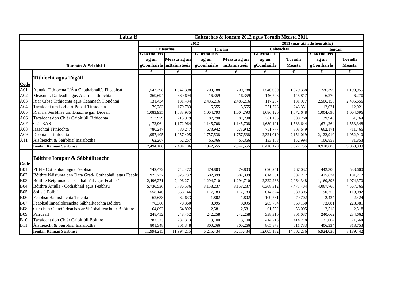| <b>Tábla B</b><br>Caiteachas & Ioncam 2012 agus Toradh Measta 2011 |                                                        |              |                           |              |               |                   |                              |               |               |
|--------------------------------------------------------------------|--------------------------------------------------------|--------------|---------------------------|--------------|---------------|-------------------|------------------------------|---------------|---------------|
|                                                                    |                                                        |              |                           | 2012         |               |                   | 2011 (mar atá athshonraithe) |               |               |
|                                                                    |                                                        |              | <b>Caiteachas</b>         |              | <b>Ioncam</b> | <b>Caiteachas</b> |                              | <b>Ioncam</b> |               |
|                                                                    |                                                        | Giactna ieis |                           | Glactha leis |               | Glactna ieis      |                              | Glactna leis  |               |
|                                                                    |                                                        | ag an        | Measta ag an              | ag an        | Measta ag an  | ag an             | <b>Toradh</b>                | ag an         | <b>Toradh</b> |
|                                                                    | Rannán & Seirbhísí                                     |              | gComhairle   mBainisteoir | gComhairle   | mBainisteoir  | gComhairle        | <b>Measta</b>                | gComhairle    | <b>Measta</b> |
|                                                                    |                                                        | €            | €                         | €            | €             | €                 | €                            | €             | €             |
|                                                                    | <b>Tithíocht agus Tógáil</b>                           |              |                           |              |               |                   |                              |               |               |
| Code                                                               |                                                        |              |                           |              |               |                   |                              |               |               |
| A01                                                                | Aonaid Tithíochta UÁ a Chothabháil/a Fheabhsú          | 1,542,398    | 1,542,398                 | 700,788      | 700,788       | 1,540,080         | 1,979,388                    | 726,399       | 1,190,955     |
| A02                                                                | Measúnú, Dáileadh agus Aistriú Tithíochta              | 369,694      | 369,694                   | 16,359       | 16,359        | 146,708           | 145,817                      | 6,270         | 6,270         |
| A <sub>03</sub>                                                    | Riar Cíosa Tithíochta agus Ceannach Tionóntaí          | 131,434      | 131,434                   | 2,485,216    | 2,485,216     | 117,207           | 131,977                      | 2,506,156     | 2,485,656     |
| A04                                                                | Tacaíocht um Forbairt Pobail Tithíochta                | 179,783      | 179,783                   | 5,555        | 5,555         | 271,723           | 243,351                      | 12,021        | 12,021        |
| A05                                                                | Riar na Seirbhíse um Dhaoine gan Dídean                | 1,083,935    | 1,083,935                 | 1,004,793    | 1,004,793     | 1,086,120         | 1,072,648                    | 1,004,696     | 1,004,696     |
| A06                                                                | Tacaíocht don Chlár Caipitiúil Tithíochta.             | 213,979      | 213,979                   | 87,290       | 87,290        | 361,196           | 308,268                      | 139,948       | 61,764        |
| A07                                                                | Clár RAS                                               | 1,172,964    | 1,172,964                 | 1,145,708    | 1,145,708     | 1,689,191         | 1,583,644                    | 1,631,264     | 1,553,348     |
| A08                                                                | Iasachtaí Tithíochta                                   | 780,247      | 780,247                   | 673,942      | 673,942       | 751,777           | 803,649                      | 662,171       | 711,466       |
| A09                                                                | Deontais Tithíochta                                    | 1,957,405    | 1,957,405                 | 1,757,538    | 1,757,538     | 2,321,019         | 2,151,019                    | 2,122,910     | 1,952,910     |
| A11                                                                | Áisíneacht & Seirbhísí Inaisíoctha                     | 62,267       | 62,267                    | 65,366       | 65,366        | 133,108           | 152,994                      | 106,853       | 81,853        |
|                                                                    | <b>Iomlán Rannán Seirbhíse</b>                         | 7,494,106    | 7,494,106                 | 7,942,555    | 7,942,555     | 8,418,129         | 8,572,755                    | 8,918,688     | 9,060,939     |
|                                                                    |                                                        |              |                           |              |               |                   |                              |               |               |
|                                                                    | Bóithre Iompar & Sábháilteacht                         |              |                           |              |               |                   |                              |               |               |
| Code                                                               |                                                        |              |                           |              |               |                   |                              |               |               |
| <b>B01</b>                                                         | PBN - Cothabháil agus Feabhsú                          | 742,472      | 742,472                   | 479,803      | 479,803       | 690,251           | 767,032                      | 442,300       | 538,600       |
| <b>B02</b>                                                         | Bóithre Náisíúnta den Dara Grád-Cothabháil agus Feabhs | 925,732      | 925,732                   | 602,399      | 602,399       | 614,361           | 882,212                      | 415,634       | 181,212       |
| <b>B03</b>                                                         | Bóithre Réigiúnacha - Cothabháil agus Feabhsú          | 2,496,271    | 2,496,271                 | 1,294,710    | 1,294,710     | 2,322,236         | 2,964,348                    | 1,160,898     | 1,974,370     |
| <b>B04</b>                                                         | Bóithre Áitiúla - Cothabháil agus Feabhsú              | 5,736,536    | 5,736,536                 | 3,158,237    | 3,158,237     | 6,368,312         | 7,477,404                    | 4,067,766     | 4,567,766     |
| <b>B05</b>                                                         | Soilsiú Poiblí                                         | 558,146      | 558,146                   | 117,183      | 117,183       | 614,324           | 580,305                      | 90,755        | 119,092       |
| <b>B06</b>                                                         | Feabhsú Bainistíochta Tráchta                          | 62,633       | 62,633                    | 1,802        | 1,802         | 109,761           | 79,702                       | 2,424         | 2,424         |
| <b>B07</b>                                                         | Feabhsú Innealtóireachta Sábháilteachta Bóithre        | 70,360       | 70,360                    | 3,095        | 3,095         | 205,784           | 368,150                      | 73,081        | 228,381       |
| <b>B08</b>                                                         | Cur chun Cinn/Oideachas ar Shábháilteacht ar Bhóithre  | 64,892       | 64,892                    | 2,581        | 2,581         | 61,752            | 56,095                       | 2,518         | 2,518         |
| <b>B09</b>                                                         | Páirceáil                                              | 248,452      | 248,452                   | 242,258      | 242,258       | 338,310           | 301,037                      | 240,662       | 234,662       |
| B10                                                                | Tacaíocht don Chlár Caipitiúil Bóithre                 | 287,373      | 287,373                   | 13,100       | 13,100        | 414,218           | 414,218                      | 21,664        | 21,664        |
| <b>B11</b>                                                         | Áisíneacht & Seirbhísí Inaisíoctha                     | 801,348      | 801,348                   | 300,266      | 300,266       | 865,873           | 611,733                      | 406,334       | 318,753       |
|                                                                    | <b>Iomlán Rannán Seirbhíse</b>                         | 11,994,215   | 11,994,215                | 6,215,434    | 6,215,434     | 12,605,182        | 14,502,236                   | 6,924,036     | 8,189,442     |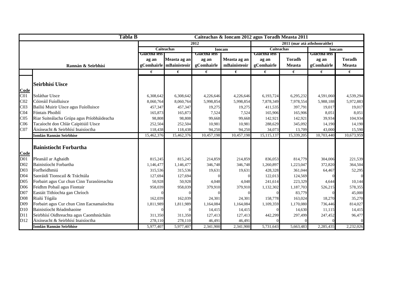|                 | <b>Tábla B</b>                             |              |                         |              | Caiteachas & Ioncam 2012 agus Toradh Measta 2011 |                   |                              |              |               |
|-----------------|--------------------------------------------|--------------|-------------------------|--------------|--------------------------------------------------|-------------------|------------------------------|--------------|---------------|
|                 |                                            |              |                         | 2012         |                                                  |                   | 2011 (mar atá athshonraithe) |              |               |
|                 |                                            |              | <b>Caiteachas</b>       |              | <b>Ioncam</b>                                    | <b>Caiteachas</b> |                              |              | <b>Ioncam</b> |
|                 |                                            | Glactha leis |                         | Glactha leis |                                                  | Glactha leis      |                              | Glactna ieis |               |
|                 |                                            | ag an        | Measta ag an            | ag an        | Measta ag an                                     | ag an             | <b>Toradh</b>                | ag an        | <b>Toradh</b> |
|                 | Rannán & Seirbhísí                         |              | gComhairle mBainisteoir | gComhairle   | mBainisteoir                                     | gComhairle        | <b>Measta</b>                | gComhairle   | <b>Measta</b> |
|                 |                                            | €            | €                       | €            | €                                                | €                 | €                            | €            | €             |
|                 |                                            |              |                         |              |                                                  |                   |                              |              |               |
|                 | <b>Seirbhísí Uisce</b>                     |              |                         |              |                                                  |                   |                              |              |               |
| Code            |                                            |              |                         |              |                                                  |                   |                              |              |               |
| C <sub>01</sub> | Soláthar Uisce                             | 6,308,642    | 6,308,642               | 4,226,646    | 4,226,646                                        | 6,193,724         | 6,295,232                    | 4,591,060    | 4,539,294     |
| C <sub>02</sub> | Cóireáil Fuíolluisce                       | 8,060,764    | 8,060,764               | 5,998,854    | 5,998,854                                        | 7,878,349         | 7,978,554                    | 5,988,188    | 5,972,883     |
| C <sub>03</sub> | Bailiú Muirir Uisce agus Fuíolluisce       | 457,347      | 457,347                 | 19,275       | 19,275                                           | 411,535           | 397,791                      | 19,017       | 19,017        |
| C <sub>04</sub> | Fóntais Phoiblí                            | 165,873      | 165,873                 | 7,524        | 7,524                                            | 165,906           | 165,906                      | 8,051        | 8,051         |
| C <sub>05</sub> | Riar Suiteálacha Grúpa agus Príobháideacha | 98,808       | 98,808                  | 99,668       | 99,668                                           | 142,921           | 142,921                      | 39,934       | 104,934       |
| C <sub>06</sub> | Tacaíocht don Chlár Caipitiúil Uisce       | 252,504      | 252,504                 | 10,981       | 10,981                                           | 288,629           | 345,092                      | 14,190       | 14,190        |
| CO7             | Áisíneacht & Seirbhísí Inaisíoctha         | 118,438      | 118,438                 | 94,250       | 94,250                                           | 34,073            | 13,709                       | 43,000       | 15,590        |
|                 | <b>Iomlán Rannán Seirbhíse</b>             | 15,462,376   | 15,462,376              | 10,457,198   | 10,457,198                                       | 15,115,137        | 15,339,205                   | 10,703,440   | 10,673,959    |
|                 |                                            |              |                         |              |                                                  |                   |                              |              |               |
|                 | <b>Bainistíocht Forbartha</b>              |              |                         |              |                                                  |                   |                              |              |               |
| Code            |                                            |              |                         |              |                                                  |                   |                              |              |               |
| D01             | Pleanáil ar Aghaidh                        | 815,245      | 815,245                 | 214,859      | 214,859                                          | 836,053           | 814,779                      | 304,006      | 221,539       |
| D <sub>02</sub> | Bainistíocht Forbartha                     | 1,146,477    | 1,146,477               | 346,748      | 346,748                                          | 1,260,897         | 1,223,047                    | 372,820      | 364,504       |
| D03             | Forfheidhmiú                               | 315,536      | 315,536                 | 19,631       | 19,631                                           | 428,328           | 361,044                      | 64,467       | 52,295        |
| D04             | Saoráidí Tionscail & Tráchtála             | 127,694      | 127,694                 |              |                                                  | 122,013           | 124,569                      |              | $\Omega$      |
| D <sub>05</sub> | Forbairt agus Cur chun Cinn Turasóireachta | 50,928       | 50,928                  | 4,048        | 4,048                                            | 241,614           | 223,329                      | 4,644        | 10,144        |
| D <sub>06</sub> | Feidhm Pobail agus Fiontair                | 958,039      | 958,039                 | 379,910      | 379,910                                          | 1,132,302         | 1,187,703                    | 526,215      | 578,355       |
| D <sub>07</sub> | Eastáit Tithíochta gan Chríoch             |              |                         |              |                                                  |                   | 83,779                       |              | 45,000        |
| D08             | Rialú Tógála                               | 162,039      | 162,039                 | 24,301       | 24,301                                           | 158,778           | 163,024                      | 18,270       | 35,270        |
| D09             | Forbairt agus Cur chun Cinn Eacnamaíochta  | 1,811,989    | 1,811,989               | 1,164,084    | 1,164,084                                        | 1,109,359         | 1,170,080                    | 736,446      | 814,027       |
| D10             | Bainistíocht Réadmhaoine                   |              |                         | 14,415       | 14,415                                           |                   | 14,630                       | 11,115       | 14,415        |
| D11             | Seirbhísí Oidhreachta agus Caomhnúcháin    | 311,350      | 311,350                 | 127,413      | 127,413                                          | 442,299           | 297,499                      | 247,452      | 96,477        |
| D <sub>12</sub> | Áisíneacht & Seirbhísí Inaisíoctha         | 278,110      | 278,110                 | 46,491       | 46,491                                           |                   |                              |              | $\Omega$      |
|                 | <b>Iomlán Rannán Seirbhíse</b>             | 5,977,407    | 5,977,407               | 2,341,900    | 2,341,900                                        | 5,731,643         | 5,663,483                    | 2,285,435    | 2,232,026     |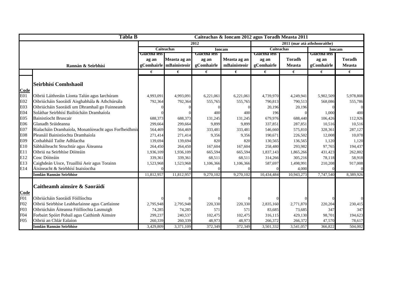|                 | <b>Tábla B</b>                                         |                |                   |              | Caiteachas & Ioncam 2012 agus Toradh Measta 2011 |              |                              |               |               |
|-----------------|--------------------------------------------------------|----------------|-------------------|--------------|--------------------------------------------------|--------------|------------------------------|---------------|---------------|
|                 |                                                        |                |                   | 2012         |                                                  |              | 2011 (mar atá athshonraithe) |               |               |
|                 |                                                        |                | <b>Caiteachas</b> |              | <b>Ioncam</b>                                    | Caiteachas   |                              | <b>Ioncam</b> |               |
|                 |                                                        | Giactna ieis i |                   | Glactna leis |                                                  | Giactha ieis |                              | Glactha leis  |               |
|                 |                                                        | ag an          | Measta ag an      | ag an        | Measta ag an                                     | ag an        | <b>Toradh</b>                | ag an         | <b>Toradh</b> |
|                 | Rannán & Seirbhísí                                     | gComhairle     | mBainisteoir      | gComhairle   | mBainisteoir                                     | gComhairle   | <b>Measta</b>                | gComhairle    | <b>Measta</b> |
|                 |                                                        | €              | €                 | €            | €                                                | €            | €                            | €             | €             |
|                 |                                                        |                |                   |              |                                                  |              |                              |               |               |
|                 | Seirbhísí Comhshaoil                                   |                |                   |              |                                                  |              |                              |               |               |
| Code            |                                                        |                |                   |              |                                                  |              |                              |               |               |
| E01             | Oibriú Láithreáin Líonta Talún agus Iarchúram          | 4,993,091      | 4,993,091         | 6,221,061    | 6,221,061                                        | 4,739,970    | 4,249,941                    | 5,902,509     | 5,978,808     |
| E02             | Oibriúcháin Saoráidí Aisghabhála & Athchúrsála         | 792,364        | 792,364           | 555,765      | 555,765                                          | 790,813      | 790,513                      | 568,086       | 555,786       |
| E03             | Oibriúcháin Saoráidí um Dhramhaíl go Fuinneamh         |                |                   |              |                                                  | 20,196       | 20,196                       |               |               |
| E04             | Soláthar Seirbhísí Bailiúcháin Dramhaíola              |                |                   | 400          | 400                                              | 196          |                              | 1,000         | 400           |
| E05             | <b>Bainistíocht Bruscair</b>                           | 688,373        | 688,373           | 131,245      | 131,245                                          | 679,976      | 688,440                      | 106,426       | 112,926       |
| E06             | Glanadh Sráideanna                                     | 299,664        | 299,664           | 9,899        | 9,899                                            | 337,851      | 287,851                      | 10,516        | 10,516        |
| E07             | Rialacháin Dramhaíola, Monatóireacht agus Forfheidhmiú | 564,469        | 564,469           | 333,481      | 333,481                                          | 546,660      | 575,810                      | 328,361       | 287,127       |
| E08             | Pleanáil Bainistíochta Dramhaíola                      | 271,414        | 271,414           | 9,356        | 9,356                                            | 190,671      | 226,502                      | 12,008        | 10,078        |
| E09             | Cothabháil Tailte Adhlactha                            | 139,694        | 139,694           | 820          | 820                                              | 130,565      | 136,565                      | 1,120         | 1,120         |
| E10             | Sábháilteacht Struchtúr agus Áiteanna                  | 264,450        | 264,450           | 167,604      | 167,604                                          | 258,480      | 293,982                      | 97,765        | 194,437       |
| E11             | Oibriú na Seirbhíse Dóiteáin                           | 1,936,109      | 1,936,109         | 665,594      | 665,594                                          | 1,837,143    | 1,865,266                    | 431,423       | 262,802       |
| E12             | Cosc Dóiteáin                                          | 339,361        | 339,361           | 68,511       | 68,511                                           | 314,266      | 305,216                      | 78,118        | 58,918        |
| E13             | Caighdeán Uisce, Truailliú Aeir agus Torainn           | 1,523,968      | 1,523,968         | 1,106,366    | 1,106,366                                        | 587,697      | 1,498,991                    | 210,208       | 917,008       |
| E14             | Áisíneacht & Seirbhísí Inaisíoctha                     |                |                   |              |                                                  |              | 4,000                        |               |               |
|                 | <b>Iomlán Rannán Seirbhíse</b>                         | 11,812,957     | 11,812,957        | 9,270,102    | 9,270,102                                        | 10,434,484   | 10,943,273                   | 7,747,540     | 8,389,926     |
|                 |                                                        |                |                   |              |                                                  |              |                              |               |               |
|                 | Caitheamh aimsire & Saoráidí                           |                |                   |              |                                                  |              |                              |               |               |
| Code            |                                                        |                |                   |              |                                                  |              |                              |               |               |
| F <sub>01</sub> | Oibriúcháin Saoráidí Fóillíochta                       |                |                   |              |                                                  |              |                              |               |               |
| F02             | Oibriú Seirbhíse Leabharlainne agus Cartlainne         | 2,795,948      | 2,795,948         | 220,330      | 220,330                                          | 2,835,160    | 2,771,870                    | 220,204       | 230,415       |
| F03             | Oibriúcháin Áiteanna Fóillíochta Lasmuigh              | 74,285         | 74,285            | 571          | 571                                              | 83,685       | 73,685                       | 347           | 347           |
| F <sub>04</sub> | Forbairt Spóirt Pobail agus Caithimh Aimsire           | 299,237        | 240,537           | 102,475      | 102,475                                          | 316,115      | 429,130                      | 98,701        | 194,623       |
| F05             | Oibriú an Chlár Ealaíon                                | 260,339        | 260,339           | 48,973       | 48,973                                           | 266,372      | 266,372                      | 47,570        | 78,617        |
|                 | <b>Iomlán Rannán Seirbhíse</b>                         | 3,429,809      | 3,371,109         | 372,349      | 372,349                                          | 3,501,332    | 3,541,057                    | 366,822       | 504,002       |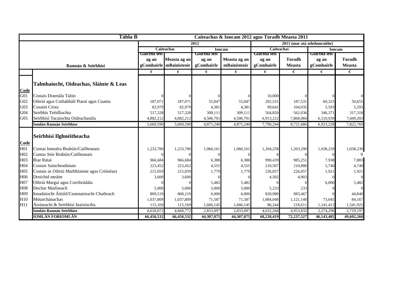|                 | Tábla B                                      |              |                           |              | Caiteachas & Ioncam 2012 agus Toradh Measta 2011 |              |                              |               |               |
|-----------------|----------------------------------------------|--------------|---------------------------|--------------|--------------------------------------------------|--------------|------------------------------|---------------|---------------|
|                 |                                              |              |                           | 2012         |                                                  |              | 2011 (mar atá athshonraithe) |               |               |
|                 |                                              |              | Caiteachas                |              | <b>Ioncam</b>                                    | Caiteachas   |                              | <b>Ioncam</b> |               |
|                 |                                              | Giactna ieis |                           | Giactha leis |                                                  | Glactha leis |                              | Giactna ieis  |               |
|                 |                                              | ag an        | Measta ag an              | ag an        | Measta ag an                                     | ag an        | <b>Toradh</b>                | ag an         | <b>Toradh</b> |
|                 | Rannán & Seirbhísí                           |              | gComhairle   mBainisteoir | gComhairle   | mBainisteoir                                     | gComhairle   | <b>Measta</b>                | gComhairle    | <b>Measta</b> |
|                 |                                              | €            | €                         | €            | €                                                | €            | €                            | €             | €             |
|                 |                                              |              |                           |              |                                                  |              |                              |               |               |
|                 | Talmhaíocht, Oideachas, Sláinte & Leas       |              |                           |              |                                                  |              |                              |               |               |
| Code            |                                              |              |                           |              |                                                  |              |                              |               |               |
| G <sub>01</sub> | Costais Draenála Talún                       |              |                           |              |                                                  | 10,000       |                              |               |               |
| G <sub>02</sub> | Oibriú agus Cothabháil Piaraí agus Cuanta    | 187,071      | 187,071                   | 55,047       | 55,047                                           | 202,531      | 187,531                      | 60,325        | 50,655        |
| G03             | Cosaint Cósta                                | 82,979       | 82,979                    | 4,381        | 4,381                                            | 99,641       | 104,035                      | 5,593         | 5,593         |
| G <sub>04</sub> | Seirbhís Tréidliachta                        | 517,328      | 517,328                   | 309,111      | 309,111                                          | 564,850      | 562,036                      | 346,371       | 317,318       |
| G05             | Seirbhísí Tacaíochta Oideachasúla            | 4,882,212    | 4,882,212                 | 4,506,701    | 4,506,701                                        | 6,913,222    | 7,868,084                    | 6,510,939     | 7,449,203     |
|                 | <b>Iomlán Rannán Seirbhíse</b>               | 5,669,590    | 5,669,590                 | 4,875,240    | 4,875,240                                        | 7,790,244    | 8,721,686                    | 6,923,228     | 7,822,769     |
|                 |                                              |              |                           |              |                                                  |              |                              |               |               |
|                 | Seirbhísí Ilghnéitheacha                     |              |                           |              |                                                  |              |                              |               |               |
| Code            |                                              |              |                           |              |                                                  |              |                              |               |               |
| H <sub>01</sub> | Cuntas Innealra Brabúis/Caillteanais         | 1,233,780    | 1,233,780                 | 1,066,161    | 1,066,161                                        | 1,204,258    | 1,203,290                    | 1,038,239     | 1,038,239     |
| H <sub>02</sub> | Cuntas Stór Brabúis/Caillteanais             |              |                           |              |                                                  |              |                              |               | $\Omega$      |
| H <sub>03</sub> | Riar Rátaí                                   | 966,684      | 966,684                   | 6,388        | 6,388                                            | 990,439      | 985,251                      | 7,938         | 7,883         |
| H04             | Costais Saincheadúnais                       | 223,452      | 223,452                   | 4,555        | 4,555                                            | 210,507      | 210,880                      | 5,740         | 4,740         |
| H <sub>05</sub> | Costais as Oibriú Marbhlainne agus Cróinéara | 215,059      | 215,059                   | 1,779        | 1,779                                            | 226,057      | 226,057                      | 1,921         | 1,921         |
| H <sub>06</sub> | Droichid meáite                              | 3,600        | 3,600                     |              |                                                  | 4,502        | 4,903                        |               | $\Omega$      |
| H <sub>07</sub> | Oibriú Margaí agus Corrthrádála              |              |                           | 5,482        | 5,482                                            |              |                              | 6,000         | 5,482         |
| H08             | Dochar Mailíseach                            | 5,000        | 5,000                     | 5,000        | 5,000                                            | 5,233        | 233                          |               | $\Omega$      |
| H09             | Ionadaíocht Áitiúil/Ceannaireacht Chathrach  | 809,519      | 868,219                   | 6,000        | 6,000                                            | 820,980      | 983,467                      |               | 44,840        |
| H <sub>10</sub> | Mótarchánachas                               | 1,037,809    | 1,037,809                 | 71,587       | 71,587                                           | 1,084,048    | 1,121,140                    | 73,045        | 84,167        |
| H11             | Áisíneacht & Seirbhísí Inaisíoctha           | 115,169      | 115,169                   | 1,666,145    | 1,666,145                                        | 86,244       | 218,611                      | 1,141,413     | 1,541,925     |
|                 | Iomlán Rannán Seirbhíse                      | 4,610,072    | 4,668,772                 | 2,833,097    | 2,833,097                                        | 4,632,268    | 4,953,832                    | 2,274,296     | 2,729,197     |
|                 | <b>IOMLÁN FORIOMLÁN</b>                      | 66,450,532   | 66,450,532                | 44,307,875   | 44,307,875                                       | 68,228,419   | 72,237,527                   | 46,143,485    | 49,602,260    |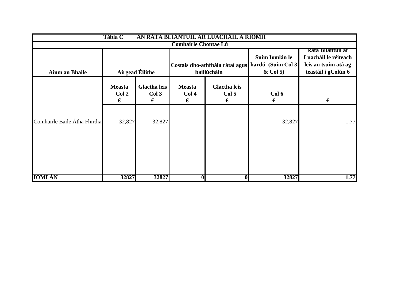|                              | Tábla C<br>AN RÁTA BLIANTÚIL AR LUACHÁIL A RÍOMH |                                   |                                        |                                   |                                                                                   |                                                                                                 |  |  |  |  |
|------------------------------|--------------------------------------------------|-----------------------------------|----------------------------------------|-----------------------------------|-----------------------------------------------------------------------------------|-------------------------------------------------------------------------------------------------|--|--|--|--|
|                              |                                                  |                                   | <b>Comhairle Chontae Lú</b>            |                                   |                                                                                   |                                                                                                 |  |  |  |  |
| <b>Ainm an Bhaile</b>        |                                                  | <b>Airgead Eilithe</b>            |                                        | bailiúcháin                       | Suim Iomlán le<br>Costais dho-athfhála rátaí agus hardú (Suim Col 3<br>$&$ Col 5) | <b>Rata Bliantuil ar</b><br>Luacháil le réiteach<br>leis an tsuim atá ag<br>teastáil i gColún 6 |  |  |  |  |
|                              | <b>Measta</b><br>Col 2<br>€                      | <b>Glactha leis</b><br>Col 3<br>€ | <b>Measta</b><br>Col <sub>4</sub><br>€ | <b>Glactha leis</b><br>Col 5<br>€ | Col 6<br>€                                                                        | €                                                                                               |  |  |  |  |
| Comhairle Baile Átha Fhirdia | 32,827                                           | 32,827                            |                                        |                                   | 32,827                                                                            | 1.77                                                                                            |  |  |  |  |
| <b>IOMLÁN</b>                | 32827                                            | 32827                             | $\bf{0}$                               | $\mathbf{0}$                      | 32827                                                                             | 1.77                                                                                            |  |  |  |  |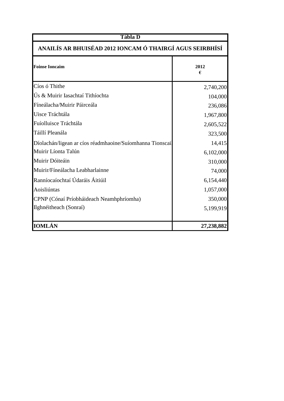| <b>Tábla D</b>                                           |            |  |  |  |  |  |
|----------------------------------------------------------|------------|--|--|--|--|--|
| ANAILÍS AR BHUISÉAD 2012 IONCAM Ó THAIRGÍ AGUS SEIRBHÍSÍ |            |  |  |  |  |  |
| <b>Foinse Ioncaim</b>                                    | 2012<br>€  |  |  |  |  |  |
| Cíos ó Thithe                                            | 2,740,200  |  |  |  |  |  |
| Ús & Muirir Iasachtaí Tithíochta                         | 104,000    |  |  |  |  |  |
| Fíneálacha/Muirir Páirceála                              | 236,086    |  |  |  |  |  |
| Uisce Tráchtála                                          | 1,967,800  |  |  |  |  |  |
| Fuíolluisce Tráchtála                                    | 2,605,522  |  |  |  |  |  |
| Táillí Pleanála                                          | 323,500    |  |  |  |  |  |
| Díolachán/ligean ar cíos réadmhaoine/Suíomhanna Tionscai | 14,415     |  |  |  |  |  |
| Muirir Líonta Talún                                      | 6,102,000  |  |  |  |  |  |
| Muirir Dóiteáin                                          | 310,000    |  |  |  |  |  |
| Muirir/Fíneálacha Leabharlainne                          | 74,000     |  |  |  |  |  |
| Ranníocaíochtaí Údaráis Áitiúil                          | 6,154,440  |  |  |  |  |  |
| Aoisliúntas                                              | 1,057,000  |  |  |  |  |  |
| CPNP (Cónaí Príobháideach Neamhphríomha)                 | 350,000    |  |  |  |  |  |
| Ilghnéitheach (Sonraí)                                   | 5,199,919  |  |  |  |  |  |
| <b>IOMLÁN</b>                                            | 27,238,882 |  |  |  |  |  |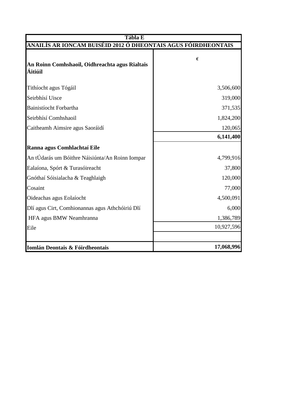| <b>Tábla E</b>                                                |            |  |  |  |  |  |
|---------------------------------------------------------------|------------|--|--|--|--|--|
| ANAILÍS AR IONCAM BUISÉID 2012 Ó DHEONTAIS AGUS FÓIRDHEONTAIS |            |  |  |  |  |  |
| An Roinn Comhshaoil, Oidhreachta agus Rialtais<br>Áitiúil     | €          |  |  |  |  |  |
| Tithíocht agus Tógáil                                         | 3,506,600  |  |  |  |  |  |
| Seirbhísí Uisce                                               | 319,000    |  |  |  |  |  |
| Bainistíocht Forbartha                                        | 371,535    |  |  |  |  |  |
| Seirbhísí Comhshaoil                                          | 1,824,200  |  |  |  |  |  |
| Caitheamh Aimsire agus Saoráidí                               | 120,065    |  |  |  |  |  |
|                                                               | 6,141,400  |  |  |  |  |  |
| Ranna agus Comhlachtaí Eile                                   |            |  |  |  |  |  |
| An tÚdarás um Bóithre Náisiúnta/An Roinn Iompar               | 4,799,916  |  |  |  |  |  |
| Ealaíona, Spórt & Turasóireacht                               | 37,800     |  |  |  |  |  |
| Gnóthaí Sóisialacha & Teaghlaigh                              | 120,000    |  |  |  |  |  |
| Cosaint                                                       | 77,000     |  |  |  |  |  |
| Oideachas agus Eolaíocht                                      | 4,500,091  |  |  |  |  |  |
| Dlí agus Cirt, Comhionannas agus Athchóiriú Dlí               | 6,000      |  |  |  |  |  |
| HFA agus BMW Neamhranna                                       | 1,386,789  |  |  |  |  |  |
| Eile                                                          | 10,927,596 |  |  |  |  |  |
|                                                               |            |  |  |  |  |  |
| Iomlán Deontais & Fóirdheontais                               | 17,068,996 |  |  |  |  |  |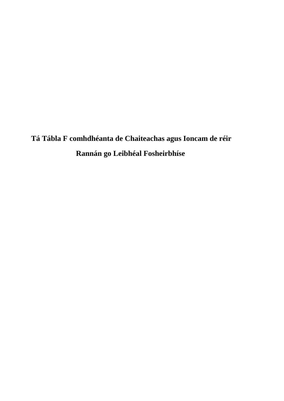**Tá Tábla F comhdhéanta de Chaiteachas agus Ioncam de réir Rannán go Leibhéal Fosheirbhíse**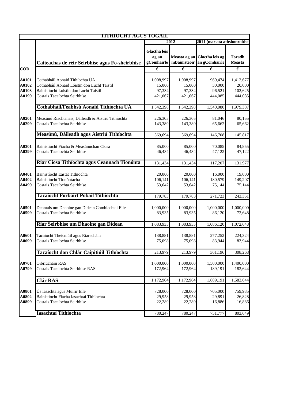|                                  | <b>TITHIOCHT AGUS TOGAIL</b>                                                                                                                             |                                            |                                          |                                                            |                                           |  |
|----------------------------------|----------------------------------------------------------------------------------------------------------------------------------------------------------|--------------------------------------------|------------------------------------------|------------------------------------------------------------|-------------------------------------------|--|
|                                  |                                                                                                                                                          |                                            | 2012<br>2011 (mar atá athshonraithe      |                                                            |                                           |  |
|                                  | Caiteachas de réir Seirbhíse agus Fo-sheirbhíse                                                                                                          | <b>Glactha leis</b><br>ag an<br>gComhairle |                                          | Measta ag an Glactha leis ag<br>mBainisteoir an gComhairle | <b>Toradh</b><br>Measta                   |  |
| <u>CÓD</u>                       |                                                                                                                                                          | $\epsilon$                                 | $\epsilon$                               | $\overline{\epsilon}$                                      | $\epsilon$                                |  |
| A0101<br>A0102<br>A0103<br>A0199 | Cothabháil Aonaid Tithíochta ÚÁ<br>Cothabháil Aonaid Lóistín don Lucht Taistil<br>Bainistíocht Lóistín don Lucht Taistil<br>Costais Tacaíochta Seirbhíse | 1,008,997<br>15,000<br>97,334<br>421,067   | 1,008,997<br>15,000<br>97,334<br>421,067 | 969,474<br>30,000<br>96,521<br>444,085                     | 1,412,677<br>20,000<br>102,625<br>444,085 |  |
|                                  | Cothabháil/Feabhsú Aonaid Tithíochta ÚÁ                                                                                                                  | 1,542,398                                  | 1,542,398                                | 1,540,080                                                  | 1,979,387                                 |  |
| A0201<br>A0299                   | Measúnú Riachtanais, Dáileadh & Aistriú Tithíochta<br>Costais Tacaíochta Seirbhíse                                                                       | 226,305<br>143,389                         | 226,305<br>143,389                       | 81,046<br>65,662                                           | 80,155<br>65,662                          |  |
|                                  | Measúnú, Dáileadh agus Aistriú Tithíochta                                                                                                                | 369,694                                    | 369,694                                  | 146,708                                                    | 145,817                                   |  |
| A0301<br>A0399                   | Bainistíocht Fiacha & Measúnúchán Cíosa<br>Costais Tacaíochta Seirbhíse                                                                                  | 85,000<br>46,434                           | 85,000<br>46,434                         | 70,085<br>47,122                                           | 84,855<br>47,122                          |  |
|                                  | Riar Cíosa Tithíochta agus Ceannach Tionónta                                                                                                             | 131,434                                    | 131,434                                  | 117,207                                                    | 131,977                                   |  |
| A0401<br>A0402<br>A0499          | Bainistíocht Eastát Tithíochta<br>Bainistíocht Tionóntacha<br>Costais Tacaíochta Seirbhíse                                                               | 20,000<br>106,141<br>53,642                | 20,000<br>106,141<br>53,642              | 16,000<br>180,579<br>75,144                                | 19,000<br>149,207<br>75,144               |  |
|                                  | Tacaíocht Forbairt Pobail Tithíochta                                                                                                                     | 179,783                                    | 179,783                                  | 271,723                                                    | 243,351                                   |  |
| A0501<br>A0599                   | Deontais um Dhaoine gan Dídean Comhlachtaí Eile<br>Costais Tacaíochta Seirbhíse                                                                          | 1,000,000<br>83,935                        | 1,000,000<br>83,935                      | 1,000,000<br>86,120                                        | 1,000,000<br>72,648                       |  |
|                                  | Riar Seirbhíse um Dhaoine gan Dídean                                                                                                                     | 1,083,935                                  | 1,083,935                                | 1,086,120                                                  | 1,072,648                                 |  |
| A0601<br>A0699                   | Tacaíocht Theicniúil agus Riaracháin<br>Costais Tacaíochta Seirbhíse                                                                                     | 138,881<br>75,098                          | 138,881<br>75,098                        | 277,252<br>83,944                                          | 224,324<br>83,944                         |  |
|                                  | Tacaíocht don Chlár Caipitiúil Tithíochta                                                                                                                | 213,979                                    | 213,979                                  | 361,196                                                    | 308,268                                   |  |
| A0701<br>A0799                   | Oibriúcháin RAS<br>Costais Tacaíochta Seirbhíse RAS                                                                                                      | 1,000,000<br>172,964                       | 1,000,000<br>172,964                     | 1,500,000<br>189,191                                       | 1,400,000<br>183,644                      |  |
|                                  | <b>Clár RAS</b>                                                                                                                                          | 1,172,964                                  | 1,172,964                                | 1,689,191                                                  | 1,583,644                                 |  |
| A0801<br>A0802<br>A0899          | Ús Iasachta agus Muirir Eile<br>Bainistíocht Fiacha Iasachtaí Tithíochta<br>Costais Tacaíochta Seirbhíse                                                 | 728,000<br>29,958<br>22,289                | 728,000<br>29,958<br>22,289              | 705,000<br>29,891<br>16,886                                | 759,935<br>26,828<br>16,886               |  |
|                                  | Iasachtaí Tithíochta                                                                                                                                     | 780,247                                    | 780,247                                  | 751,777                                                    | 803,649                                   |  |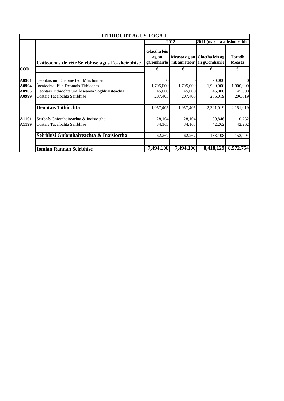|                                  | ITTHIOCHT AGUS TOGAIL                                                                                                                                          |                                            |                                |                                                            |                                                  |
|----------------------------------|----------------------------------------------------------------------------------------------------------------------------------------------------------------|--------------------------------------------|--------------------------------|------------------------------------------------------------|--------------------------------------------------|
|                                  |                                                                                                                                                                |                                            | 2012                           | 2011 (mar atá athshonraithe)                               |                                                  |
|                                  | Caiteachas de réir Seirbhíse agus Fo-sheirbhíse                                                                                                                | <b>Glactha leis</b><br>ag an<br>gComhairle |                                | Measta ag an Glactha leis ag<br>mBainisteoir an gComhairle | <b>Toradh</b><br><b>Measta</b>                   |
| <u>CÓD</u>                       |                                                                                                                                                                | €                                          | €                              | €                                                          | €                                                |
| A0901<br>A0904<br>A0905<br>A0999 | Deontais um Dhaoine faoi Mhíchumas<br>Íocaíochtaí Eile Deontais Tithíochta<br>Deontais Tithíochta um Áiseanna Soghluaisteachta<br>Costais Tacaíochta Seirbhíse | $\Omega$<br>1,705,000<br>45,000<br>207,405 | 1,705,000<br>45,000<br>207,405 | 90,000<br>1,980,000<br>45,000<br>206,019                   | $\overline{0}$<br>1,900,000<br>45,000<br>206,019 |
|                                  | <b>Deontais Tithíochta</b>                                                                                                                                     | 1,957,405                                  | 1,957,405                      | 2,321,019                                                  | 2,151,019                                        |
| A1101<br>A1199                   | Seirbhís Gníomhaireachta & Inaisíoctha<br>Costais Tacaíochta Seirbhíse                                                                                         | 28,104<br>34,163                           | 28,104<br>34,163               | 90,846<br>42,262                                           | 110,732<br>42,262                                |
|                                  | Seirbhísí Gníomhaireachta & Inaisíoctha                                                                                                                        | 62,267                                     | 62,267                         | 133,108                                                    | 152,994                                          |
|                                  |                                                                                                                                                                |                                            |                                |                                                            |                                                  |
|                                  | <b>Iomlán Rannán Seirbhíse</b>                                                                                                                                 | 7,494,106                                  | 7,494,106                      | 8,418,129                                                  | 8,572,754                                        |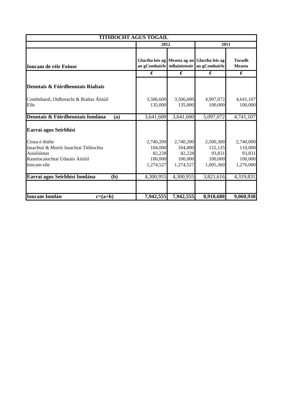|                                                                                                                            | <b>TITHÍOCHT AGUS TÓGÁIL</b>                           |                                                        |                                                                                              |                                                        |  |
|----------------------------------------------------------------------------------------------------------------------------|--------------------------------------------------------|--------------------------------------------------------|----------------------------------------------------------------------------------------------|--------------------------------------------------------|--|
|                                                                                                                            | 2012                                                   |                                                        | 2011                                                                                         |                                                        |  |
| <b>Ioncam de réir Foinse</b>                                                                                               |                                                        |                                                        | Glactha leis ag Measta ag an Glactha leis ag<br>an gComhairle   mBainisteoir   an gComhairle | <b>Toradh</b><br><b>Measta</b>                         |  |
|                                                                                                                            | €                                                      | €                                                      | €                                                                                            | €                                                      |  |
| Deontais & Fóirdheontais Rialtais                                                                                          |                                                        |                                                        |                                                                                              |                                                        |  |
| Comhshaoil, Oidhreacht & Rialtas Áitiúil<br>Eile                                                                           | 3,506,600<br>135,000                                   | 3,506,600<br>135,000                                   | 4,997,072<br>100,000                                                                         | 4,641,107<br>100,000                                   |  |
| Deontais & Fóirdheontais Iomlána<br>(a)                                                                                    | 3,641,600                                              | 3,641,600                                              | 5,097,072                                                                                    | 4,741,107                                              |  |
| Earraí agus Seirbhísí                                                                                                      |                                                        |                                                        |                                                                                              |                                                        |  |
| Cíosa ó thithe<br>Iasachtaí & Muirir Iasachtaí Tithíochta<br>Aoisliúntas<br>Ranníocaíochtaí Údaráis Áitiúil<br>Ioncam eile | 2,740,200<br>104,000<br>82,228<br>100,000<br>1,274,527 | 2,740,200<br>104,000<br>82,228<br>100,000<br>1,274,527 | 2,500,300<br>122,125<br>93,831<br>100,000<br>1,005,360                                       | 2,740,000<br>110,000<br>93,831<br>100,000<br>1,276,000 |  |
| Earraí agus Seirbhísí Iomlána<br>(b)                                                                                       | 4,300,955                                              | 4,300,955                                              | 3,821,616                                                                                    | 4,319,831                                              |  |
| <b>Ioncam Iomlán</b><br>$c=(a+b)$                                                                                          | 7,942,555                                              | 7,942,555                                              | 8,918,688                                                                                    | 9,060,938                                              |  |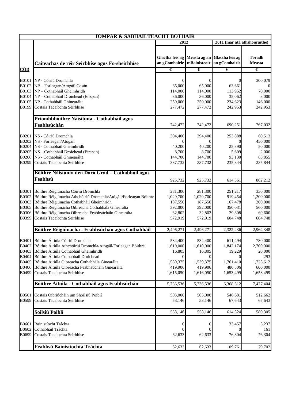|                                                         | <b>IOMPAR &amp; SABHAILTEACHT BOTHAIR</b>                                                                                                                                                                                                                                                                                                         |                                                                          |                                                                                 |                                                                                 |                                                                            |
|---------------------------------------------------------|---------------------------------------------------------------------------------------------------------------------------------------------------------------------------------------------------------------------------------------------------------------------------------------------------------------------------------------------------|--------------------------------------------------------------------------|---------------------------------------------------------------------------------|---------------------------------------------------------------------------------|----------------------------------------------------------------------------|
|                                                         |                                                                                                                                                                                                                                                                                                                                                   | 2012                                                                     |                                                                                 | 2011 (mar atá athshonraithe)                                                    |                                                                            |
|                                                         | Caiteachas de réir Seirbhíse agus Fo-sheirbhíse                                                                                                                                                                                                                                                                                                   | an gComhairle   mBainisteoir                                             |                                                                                 | Glactha leis ag Measta ag an Glactha leis ag<br>an gComhairle                   | <b>Toradh</b><br>Measta                                                    |
| <u>CÓD</u>                                              |                                                                                                                                                                                                                                                                                                                                                   | €                                                                        | $\epsilon$                                                                      | €                                                                               | $\epsilon$                                                                 |
| B0103<br>B0199                                          | B0101 NP - Cóiriú Dromchla<br>B0102 NP - Forleagan/Atógáil Cosán<br>NP - Cothabháil Gheimhridh<br>B0104 NP - Cothabháil Droichead (Eirspan)<br>B0105 NP - Cothabháil Ghinearálta<br>Costais Tacaíochta Seirbhíse                                                                                                                                  | 0<br>65,000<br>114,000<br>36,000<br>250,000<br>277,472                   | $\Omega$<br>65,000<br>114,000<br>36,000<br>250,000<br>277,472                   | 0<br>63,661<br>113,952<br>35,062<br>234,623<br>242,953                          | 300,079<br>70,000<br>8,000<br>146,000<br>242,953                           |
|                                                         | Príomhbhóithre Náisiúnta - Cothabháil agus                                                                                                                                                                                                                                                                                                        |                                                                          |                                                                                 |                                                                                 |                                                                            |
|                                                         | Feabhsúchán                                                                                                                                                                                                                                                                                                                                       | 742,472                                                                  | 742,472                                                                         | 690,251                                                                         | 767,032                                                                    |
| <b>B0202</b><br>B0299                                   | B0201 NS - Cóiriú Dromchla<br>NS - Forleagan/Atógáil<br>B0204 NS - Cothabháil Gheimhridh<br>B0205 NS - Cothabháil Droichead (Eirspan)<br>B0206 NS - Cothabháil Ghinearálta<br>Costais Tacaíochta Seirbhíse                                                                                                                                        | 394,400<br>0<br>40,200<br>8,700<br>144,700<br>337,732                    | 394,400<br>$\Omega$<br>40,200<br>8,700<br>144,700<br>337,732                    | 253,888<br>25,890<br>5,609<br>93,130<br>235,844                                 | 60,513<br>450,000<br>50,000<br>2,000<br>83,855<br>235,844                  |
|                                                         | Bóithre Náisiúnta den Dara Grád – Cothabháil agus                                                                                                                                                                                                                                                                                                 |                                                                          |                                                                                 |                                                                                 |                                                                            |
|                                                         | Feabhsú                                                                                                                                                                                                                                                                                                                                           | 925,732                                                                  | 925,732                                                                         | 614,361                                                                         | 882,212                                                                    |
| B0302<br>B0303<br><b>B0305</b><br><b>B0306</b><br>B0399 | B0301 Bóithre Réigiúnacha Cóiriú Dromchla<br>Bóithre Réigiúnacha Athchóiriú Dromchla/Atógáil/Forleagan Bóithre<br>Bóithre Réigiúnacha Cothabháil Gheimhridh<br>Bóithre Réigiúnacha Oibreacha Cothabhála Ginearálta<br>Bóithre Réigiúnacha Oibreacha Feabhsúcháin Ginearálta<br>Costais Tacaíochta Seirbhíse                                       | 281,300<br>1,029,700<br>187,550<br>392,000<br>32,802<br>572,919          | 281,300<br>1,029,700<br>187,550<br>392,000<br>32,802<br>572,919                 | 251,217<br>919,454<br>167,478<br>350,031<br>29,308<br>604,748                   | 330,000<br>1,200,000<br>200,000<br>560,000<br>69,600<br>604,748            |
|                                                         | Bóithre Réigiúnacha - Feabhsúchán agus Cothabháil                                                                                                                                                                                                                                                                                                 | 2,496,271                                                                | 2,496,271                                                                       | 2,322,236                                                                       | 2,964,348                                                                  |
| B0404<br>B0405<br>B0499                                 | B0401 Bóithre Áitiúla Cóiriú Dromchla<br>B0402 Bóithre Áitiúla Athchóiriú Dromchla/Atógáil/Forleagan Bóithre<br>B0403 Bóithre Áitiúla Cothabháil Gheimhridh<br>Bóithre Áitiúla Cothabháil Droichead<br>Bóithre Áitiúla Oibreacha Cothabhála Ginearálta<br>B0406 Bóithre Áitiúla Oibreacha Feabhsúcháin Ginearálta<br>Costais Tacaíochta Seirbhíse | 534,400<br>1,610,000<br>16,805<br>0<br>1,539,375<br>419.906<br>1,616,050 | 534,400<br>1,610,000<br>16,805<br>$\theta$<br>1,539,375<br>419,906<br>1,616,050 | 611,494<br>1,842,174<br>19,229<br>$\theta$<br>1,761,410<br>480,506<br>1,653,499 | 780,000<br>2,700,000<br>20,000<br>293<br>1,723,612<br>600,000<br>1,653,499 |
|                                                         | Bóithre Áitiúla - Cothabháil agus Feabhsúchán                                                                                                                                                                                                                                                                                                     | 5,736,536                                                                | 5,736,536                                                                       | 6,368,312                                                                       | 7,477,404                                                                  |
| <b>B0501</b><br>B0599                                   | Costais Oibriúcháin um Shoilsiú Poiblí<br>Costais Tacaíochta Seirbhíse                                                                                                                                                                                                                                                                            | 505,000<br>53,146                                                        | 505,000<br>53,146                                                               | 546,681<br>67,643                                                               | 512,662<br>67,643                                                          |
|                                                         | Soilsiú Poiblí                                                                                                                                                                                                                                                                                                                                    | 558,146                                                                  | 558,146                                                                         | 614,324                                                                         | 580,305                                                                    |
| <b>B0601</b><br>B0602<br>B0699                          | Bainistíocht Tráchta<br>Cothabháil Tráchta<br>Costais Tacaíochta Seirbhíse                                                                                                                                                                                                                                                                        | 0<br>0<br>62,633                                                         | $\boldsymbol{0}$<br>$\Omega$<br>62,633                                          | 33,457<br>0<br>76,304                                                           | 3,237<br>161<br>76,304                                                     |
|                                                         | Feabhsú Bainistíochta Tráchta                                                                                                                                                                                                                                                                                                                     | 62,633                                                                   | 62,633                                                                          | 109,761                                                                         | 79,702                                                                     |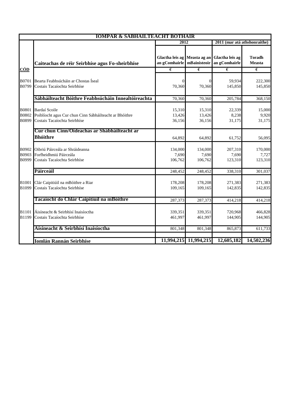|                                | <b>IOMPAR &amp; SABHAILTEACHT BOTHAIR</b>                                                                |                              |                             |                                                               |                                |
|--------------------------------|----------------------------------------------------------------------------------------------------------|------------------------------|-----------------------------|---------------------------------------------------------------|--------------------------------|
|                                |                                                                                                          | 2012                         |                             | 2011 (mar atá athshonraithe)                                  |                                |
|                                | Caiteachas de réir Seirbhíse agus Fo-sheirbhíse                                                          | an gComhairle   mBainisteoir |                             | Glactha leis ag Measta ag an Glactha leis ag<br>an gComhairle | <b>Toradh</b><br><b>Measta</b> |
| <b>CÓD</b>                     |                                                                                                          | $\epsilon$                   | $\epsilon$                  | $\epsilon$                                                    | $\epsilon$                     |
| B0701<br>B0799                 | Bearta Feabhsúcháin ar Chostas Íseal<br>Costais Tacaíochta Seirbhíse                                     | $\Omega$<br>70,360           | $\overline{0}$<br>70,360    | 59,934<br>145,850                                             | 222,300<br>145,850             |
|                                | Sábháilteacht Bóithre Feabhsúcháin Innealtóireachta                                                      | 70,360                       | 70,360                      | 205,784                                                       | 368,150                        |
| <b>B0801</b><br>B0802<br>B0899 | Bardaí Scoile<br>Poiblíocht agus Cur chun Cinn Sábháilteacht ar Bhóithre<br>Costais Tacaíochta Seirbhíse | 15,310<br>13,426<br>36,156   | 15,310<br>13,426<br>36,156  | 22,339<br>8,238<br>31,175                                     | 15,000<br>9,920<br>31,175      |
|                                | Cur chun Cinn/Oideachas ar Shábháilteacht ar                                                             |                              |                             |                                                               |                                |
|                                | <b>Bhóithre</b>                                                                                          | 64,892                       | 64,892                      | 61,752                                                        | 56,095                         |
| B0902<br>B0999                 | Oibriú Páirceála ar Shráideanna<br>B0903 Forfheidhmiú Páirceála<br>Costais Tacaíochta Seirbhíse          | 134,000<br>7,690<br>106,762  | 134,000<br>7,690<br>106,762 | 207,310<br>7,690<br>123,310                                   | 170,000<br>7,727<br>123,310    |
|                                | Páirceáil                                                                                                | 248,452                      | 248,452                     | 338,310                                                       | 301,037                        |
| B1001<br>B1099                 | Clár Caipitiúil na mBóithre a Riar<br>Costais Tacaíochta Seirbhíse                                       | 178,208<br>109,165           | 178,208<br>109,165          | 271,383<br>142,835                                            | 271,383<br>142,835             |
|                                | Tacaíocht do Chlár Caipitiúil na mBóithre                                                                | 287,373                      | 287,373                     | 414,218                                                       | 414,218                        |
| <b>B1101</b><br>B1199          | Áisíneacht & Seirbhísí Inaisíoctha<br>Costais Tacaíochta Seirbhíse                                       | 339,351<br>461,997           | 339,351<br>461,997          | 720,968<br>144,905                                            | 466,828<br>144,905             |
|                                | Aísíneacht & Seirbhísí Inaisíoctha                                                                       | 801,348                      | 801,348                     | 865,873                                                       | 611,733                        |
|                                | <b>Iomlán Rannán Seirbhíse</b>                                                                           |                              | 11,994,215 11,994,215       | 12,605,182                                                    | 14,502,236                     |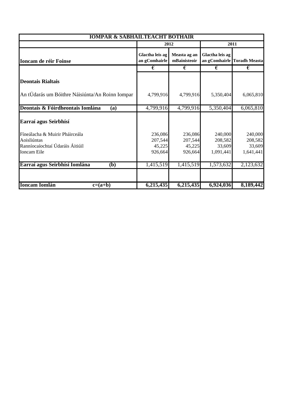| <b>IOMPAR &amp; SÁBHÁILTEACHT BÓTHAIR</b>                                                       |                                         |                                         |                                           |                                           |  |
|-------------------------------------------------------------------------------------------------|-----------------------------------------|-----------------------------------------|-------------------------------------------|-------------------------------------------|--|
|                                                                                                 |                                         | 2012                                    |                                           | 2011                                      |  |
| <b>Ioncam de réir Foinse</b>                                                                    | Glactha leis ag<br>an gComhairle        | Measta ag an<br>mBainisteoir            | Glactha leis ag                           | an gComhairle Toradh Measta               |  |
|                                                                                                 | €                                       | €                                       | €                                         | €                                         |  |
| <b>Deontais Rialtais</b>                                                                        |                                         |                                         |                                           |                                           |  |
| An tÚdarás um Bóithre Náisiúnta/An Roinn Iompar                                                 | 4,799,916                               | 4,799,916                               | 5,350,404                                 | 6,065,810                                 |  |
| Deontais & Fóirdheontais Iomlána<br>(a)                                                         | 4,799,916                               | 4,799,916                               | 5,350,404                                 | 6,065,810                                 |  |
| Earraí agus Seirbhísí                                                                           |                                         |                                         |                                           |                                           |  |
| Fíneálacha & Muirir Pháirceála<br>Aoisliúntas<br>Ranníocaíochtaí Údaráis Áitiúil<br>Ioncam Eile | 236,086<br>207,544<br>45,225<br>926,664 | 236,086<br>207,544<br>45,225<br>926,664 | 240,000<br>208,582<br>33,609<br>1,091,441 | 240,000<br>208,582<br>33,609<br>1,641,441 |  |
| Earraí agus Seirbhísí Iomlána<br>( <b>b</b> )                                                   | 1,415,519                               | 1,415,519                               | 1,573,632                                 | 2,123,632                                 |  |
|                                                                                                 |                                         |                                         |                                           |                                           |  |
| <b>Ioncam Iomlán</b><br>$c=(a+b)$                                                               | 6,215,435                               | 6,215,435                               | 6,924,036                                 | 8,189,442                                 |  |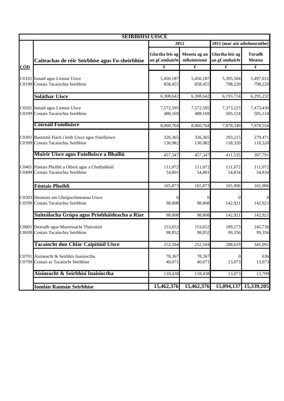|            | <b>SEIRBHISI UISCE</b>                                                                     |                                  |                              |                                  |                                |
|------------|--------------------------------------------------------------------------------------------|----------------------------------|------------------------------|----------------------------------|--------------------------------|
|            |                                                                                            | 2012                             |                              | 2011 (mar atá athshonraithe)     |                                |
|            | Caiteachas de réir Seirbhíse agus Fo-sheirbhíse                                            | Glactha leis ag<br>an gComhairle | Measta ag an<br>mBainisteoir | Glactha leis ag<br>an gComhairle | <b>Toradh</b><br><b>Measta</b> |
| <u>CÓD</u> |                                                                                            | €                                | $\overline{\epsilon}$        | €                                | €                              |
|            | C0101 Ionaid agus Líonraí Uisce<br>C0199 Costais Tacaíochta Seirbhíse                      | 5,450,187<br>858,455             | 5,450,187<br>858,455         | 5,395,504<br>798,220             | 5,497,012<br>798,220           |
|            | <b>Soláthar Uisce</b>                                                                      | 6,308,642                        | 6,308,642                    | 6,193,724                        | 6,295,232                      |
|            | C0201 Ionaid agus Líonraí Uisce<br>C0299 Costais Tacaíochta Seirbhíse                      | 7,572,595<br>488,169             | 7,572,595<br>488,169         | 7,373,225<br>505,124             | 7,473,430<br>505,124           |
|            | <b>Cóireáil Fuíolluisce</b>                                                                | 8,060,764                        | 8,060,764                    | 7,878,349                        | 7,978,554                      |
|            | C0301 Bainistiú Fiach i leith Uisce agus Fuíolluisce<br>C0399 Costais Tacaíochta Seirbhíse | 326,365<br>130,982               | 326,365<br>130,982           | 293,215<br>118,320               | 279,471<br>118,320             |
|            | Muirir Uisce agus Fuíolluisce a Bhailiú                                                    | 457,347                          | 457,347                      | 411,535                          | 397,791                        |
|            | C0401 Fóntais Phoiblí a Oibriú agus a Chothabháil<br>C0499 Costais Tacaíochta Seirbhíse    | 111,072<br>54,801                | 111,072<br>54,801            | 111,072<br>54,834                | 111,072<br>54,834              |
|            | <b>Fóntais Phoiblí</b>                                                                     | 165,873                          | 165,873                      | 165,906                          | 165,906                        |
|            | C0503 Deontais um Ghrúpscéimeanna Uisce<br>C0599 Costais Tacaíochta Seirbhíse              | 0<br>98,808                      | 98,808                       | 142,921                          | 142,921                        |
|            | Suiteálacha Grúpa agus Príobháideacha a Riar                                               | 98,808                           | 98,808                       | 142,921                          | 142,921                        |
|            | C0601 Dearadh agus Maoirseacht Theicniúil<br>C0699 Costais Tacaíochta Seirbhíse            | 153,652<br>98,852                | 153,652<br>98,852            | 189,273<br>99,356                | 245,736<br>99,356              |
|            | Tacaíocht don Chlár Caipitiúil Uisce                                                       | 252,504                          | 252,504                      | 288,629                          | 345,092                        |
| C0799      | C0701 Áisíneacht & Seirbhís Inaisíoctha<br>Costais as Tacaíocht Seirbhíse                  | 78,367<br>40,071                 | 78,367<br>40,071             | 13,073                           | 636<br>13,073                  |
|            | Áisíneacht & Seirbhísí Inaisíoctha                                                         | 118,438                          | 118,438                      | 13,073                           | 13,709                         |
|            | Iomlán Rannán Seirbhíse                                                                    | 15,462,376                       | 15,462,376                   | 15,094,137                       | 15,339,205                     |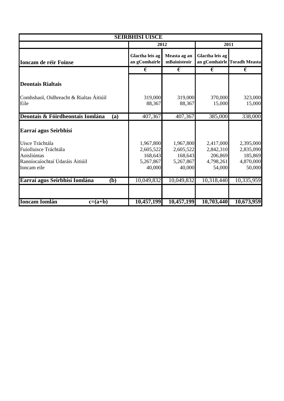| <b>SEIRBHÍSÍ UISCE</b>                                                                                    |                                                          |                                                          |                                                          |                                                          |  |
|-----------------------------------------------------------------------------------------------------------|----------------------------------------------------------|----------------------------------------------------------|----------------------------------------------------------|----------------------------------------------------------|--|
|                                                                                                           |                                                          | 2012                                                     |                                                          | 2011                                                     |  |
| Ioncam de réir Foinse                                                                                     | Glactha leis ag<br>an gComhairle                         | Measta ag an<br>mBainisteoir                             | Glactha leis ag                                          | an gComhairle Toradh Measta                              |  |
|                                                                                                           | €                                                        | €                                                        | €                                                        | €                                                        |  |
| <b>Deontais Rialtais</b>                                                                                  |                                                          |                                                          |                                                          |                                                          |  |
| Comhshaol, Oidhreacht & Rialtas Áitiúil<br>Eile                                                           | 319,000<br>88,367                                        | 319,000<br>88,367                                        | 370,000<br>15,000                                        | 323,000<br>15,000                                        |  |
| Deontais & Fóirdheontais Iomlána<br>(a)                                                                   | 407,367                                                  | 407,367                                                  | 385,000                                                  | 338,000                                                  |  |
| Earraí agus Seirbhísí                                                                                     |                                                          |                                                          |                                                          |                                                          |  |
| Uisce Tráchtála<br>Fuíolluisce Tráchtála<br>Aoisliúntas<br>Ranníocaíochtaí Údaráis Áitiúil<br>Ioncam eile | 1,967,800<br>2,605,522<br>168,643<br>5,267,867<br>40,000 | 1,967,800<br>2,605,522<br>168,643<br>5,267,867<br>40,000 | 2,417,000<br>2,842,310<br>206,869<br>4,798,261<br>54,000 | 2,395,000<br>2,835,090<br>185,869<br>4,870,000<br>50,000 |  |
| Earraí agus Seirbhísí Iomlána<br>(b)                                                                      | 10,049,832                                               | 10,049,832                                               | 10,318,440                                               | 10,335,959                                               |  |
|                                                                                                           |                                                          |                                                          |                                                          |                                                          |  |
| <b>Ioncam Iomlán</b><br>$c=(a+b)$                                                                         | 10,457,199                                               | 10,457,199                                               | 10,703,440                                               | 10,673,959                                               |  |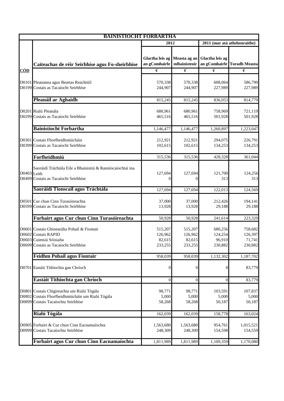|             | <b>BAINISTIOCHT FORBARTHA</b>                                                                                                         |                                               |                                         |                                         |                                         |  |
|-------------|---------------------------------------------------------------------------------------------------------------------------------------|-----------------------------------------------|-----------------------------------------|-----------------------------------------|-----------------------------------------|--|
|             |                                                                                                                                       | 2012                                          |                                         | 2011 (mar atá athshonraithe)            |                                         |  |
|             | Caiteachas de réir Seirbhíse agus Fo-sheirbhíse                                                                                       | Glactha leis ag Measta ag an<br>an gComhairle | mBainisteoir                            | Glactha leis ag                         | an gComhairle Toradh Measta             |  |
| <u>CÓD</u>  |                                                                                                                                       | €                                             | €                                       | €                                       | €                                       |  |
|             | D0101 Pleananna agus Beartas Reachtúil<br>D0199 Costais as Tacaíocht Seirbhíse                                                        | 570,338<br>244,907                            | 570,338<br>244,907                      | 608,064<br>227,989                      | 586,790<br>227,989                      |  |
|             | Pleanáil ar Aghaidh                                                                                                                   | 815,245                                       | 815,245                                 | 836,053                                 | 814,779                                 |  |
|             | D0201 Rialú Pleanála<br>D0299 Costais as Tacaíocht Seirbhíse                                                                          | 680,961<br>465,516                            | 680,961<br>465,516                      | 758,969<br>501,928                      | 721,119<br>501,928                      |  |
|             | <b>Bainistíocht Forbartha</b>                                                                                                         | 1,146,477                                     | 1,146,477                               | 1,260,897                               | 1,223,047                               |  |
|             | D0301 Costais Fhorfheidhmiúcháin<br>D0399 Costais as Tacaíocht Seirbhíse                                                              | 212,921<br>102,615                            | 212,921<br>102,615                      | 294,075<br>134,253                      | 226,791<br>134,253                      |  |
|             | Forfheidhmiú                                                                                                                          | 315,536                                       | 315,536                                 | 428,328                                 | 361,044                                 |  |
| D0403 Leith | Saoráidí Tráchtála Eile a Bhainistiú & Ranníocaíochtaí ina<br>D0499 Costais as Tacaíocht Seirbhíse                                    | 127,694<br>0                                  | 127,694<br>0                            | 121,700<br>313                          | 124,256<br>313                          |  |
|             | Saoráidí Tionscail agus Tráchtála                                                                                                     | 127,694                                       | 127,694                                 | 122,013                                 | 124,569                                 |  |
|             | D0501 Cur chun Cinn Turasóireachta<br>D0599 Costais as Tacaíocht Seirbhíse                                                            | 37,000<br>13,928                              | 37,000<br>13,928                        | 212,426<br>29,188                       | 194,141<br>29,188                       |  |
|             | Forbairt agus Cur chun Cinn Turasóireachta                                                                                            | 50,928                                        | 50,928                                  | 241,614                                 | 223,329                                 |  |
|             | D0601 Costais Ghinearálta Pobail & Fiontair<br>D0602 Costais RAPID<br>D0603 Cuimsiú Sóisialta<br>D0699 Costais as Tacaíocht Seirbhíse | 515,207<br>126,962<br>82,615<br>233,255       | 515,207<br>126,962<br>82,615<br>233,255 | 680,256<br>124,254<br>96,910<br>230,882 | 758,682<br>126,397<br>71,741<br>230,882 |  |
|             | <b>Feidhm Pobail agus Fiontair</b>                                                                                                    | 958,039                                       | 958,039                                 | 1,132,302                               | 1,187,702                               |  |
|             | D0701 Eastáit Tithíochta gan Chríoch                                                                                                  | $\overline{0}$                                | $\mathbf{0}$                            | $\overline{0}$                          | 83,779                                  |  |
|             | Eastáit Tithíochta gan Chríoch                                                                                                        | $\theta$                                      | $\mathbf{0}$                            | $\overline{0}$                          | 83,779                                  |  |
|             | D0801 Costais Chigireachta um Rialú Tógála<br>D0802 Costais Fhorfheidhmiúcháin um Rialú Tógála<br>D0899 Costais Tacaíochta Seirbhíse  | 98,771<br>5,000<br>58,268                     | 98,771<br>5,000<br>58,268               | 103,591<br>5,000<br>50,187              | 107,837<br>5,000<br>50,187              |  |
|             | Rialú Tógála                                                                                                                          | 162,039                                       | 162,039                                 | 158,778                                 | 163,024                                 |  |
|             | D0905 Forbairt & Cur chun Cinn Eacnamaíochta<br>D0999 Costais Tacaíochta Seirbhíse                                                    | 1,563,680<br>248,309                          | 1,563,680<br>248,309                    | 954,761<br>154,598                      | 1,015,521<br>154,559                    |  |
|             | Forbairt agus Cur chun Cinn Eacnamaíochta                                                                                             | 1,811,989                                     | 1,811,989                               | 1,109,359                               | 1,170,080                               |  |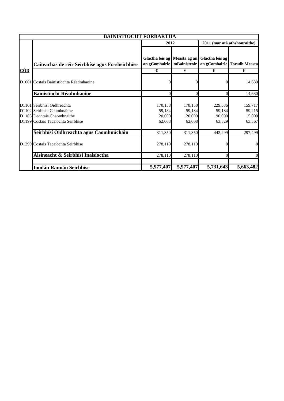|            | BAINISTIOCHT FORBARTHA                                                                                                          |                                               |                                       |                                       |                                       |
|------------|---------------------------------------------------------------------------------------------------------------------------------|-----------------------------------------------|---------------------------------------|---------------------------------------|---------------------------------------|
|            |                                                                                                                                 | 2012                                          |                                       |                                       | 2011 (mar atá athshonraithe)          |
|            | Caiteachas de réir Seirbhíse agus Fo-sheirbhíse                                                                                 | Glactha leis ag Measta ag an<br>an gComhairle | mBainisteoir                          | Glactha leis ag                       | an gComhairle Toradh Measta           |
| <u>CÓD</u> |                                                                                                                                 | €                                             | €                                     | €                                     | €                                     |
|            | D1001 Costais Bainistíochta Réadmhaoine                                                                                         |                                               |                                       | $\Omega$                              | 14,630                                |
|            | <b>Bainistíocht Réadmhaoine</b>                                                                                                 |                                               | 0                                     | $\Omega$                              | 14,630                                |
|            | D1101 Seirbhísí Oidhreachta<br>D1102 Seirbhísí Caomhnaithe<br>D1103 Deontais Chaomhnaithe<br>D1199 Costais Tacaíochta Seirbhíse | 170,158<br>59,184<br>20,000<br>62,008         | 170,158<br>59,184<br>20,000<br>62,008 | 229,586<br>59,184<br>90,000<br>63,529 | 159,717<br>59,215<br>15,000<br>63,567 |
|            | Seirbhísí Oidhreachta agus Caomhnúcháin                                                                                         | 311,350                                       | 311,350                               | 442,299                               | 297,499                               |
|            | D1299 Costais Tacaíochta Seirbhíse                                                                                              | 278,110                                       | 278,110                               | 0                                     | $\overline{0}$                        |
|            | Áisíneacht & Seirbhísí Inaisíoctha                                                                                              | 278,110                                       | 278,110                               | $\Omega$                              | $\theta$                              |
|            | <b>Iomlán Rannán Seirbhíse</b>                                                                                                  | 5,977,407                                     | 5,977,407                             | 5,731,643                             | 5,663,482                             |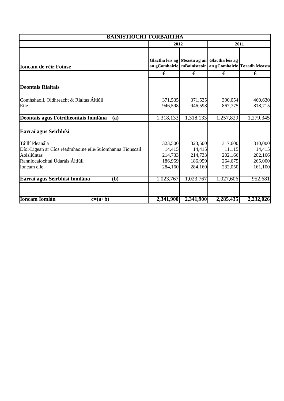| <b>BAINISTÍOCHT FORBARTHA</b>                                                                                                                 |                                                    |                                                    |                                                    |                                                            |
|-----------------------------------------------------------------------------------------------------------------------------------------------|----------------------------------------------------|----------------------------------------------------|----------------------------------------------------|------------------------------------------------------------|
|                                                                                                                                               | 2012                                               |                                                    |                                                    | 2011                                                       |
| <b>Ioncam de réir Foinse</b>                                                                                                                  |                                                    |                                                    | Glactha leis ag Measta ag an Glactha leis ag       | an gComhairle   mBainisteoir   an gComhairle Toradh Measta |
|                                                                                                                                               | €                                                  | €                                                  | €                                                  | €                                                          |
| <b>Deontais Rialtais</b>                                                                                                                      |                                                    |                                                    |                                                    |                                                            |
| Comhshaoil, Oidhreacht & Rialtas Áitiúil<br>Eile                                                                                              | 371,535<br>946,598                                 | 371,535<br>946,598                                 | 390,054<br>867,775                                 | 460,630<br>818,715                                         |
| Deontais agus Fóirdheontais Iomlána<br>(a)                                                                                                    | 1,318,133                                          | 1,318,133                                          | 1,257,829                                          | 1,279,345                                                  |
| Earraí agus Seirbhísí                                                                                                                         |                                                    |                                                    |                                                    |                                                            |
| Táillí Pleanála<br>Díol/Ligean ar Cíos réadmhaoine eile/Suíomhanna Tionscail<br>Aoisliúntas<br>Ranníocaíochtaí Údaráis Áitiúil<br>Ioncam eile | 323,500<br>14,415<br>214,733<br>186,959<br>284,160 | 323,500<br>14,415<br>214,733<br>186,959<br>284,160 | 317,600<br>11,115<br>202,166<br>264,675<br>232,050 | 310,000<br>14,415<br>202,166<br>265,000<br>161,100         |
| Earraí agus Seirbhísí Iomlána<br>( <b>b</b> )                                                                                                 | 1,023,767                                          | 1,023,767                                          | 1,027,606                                          | 952,681                                                    |
| <b>Ioncam Iomlán</b><br>$c=(a+b)$                                                                                                             | 2,341,900                                          | 2,341,900                                          | 2,285,435                                          | 2,232,026                                                  |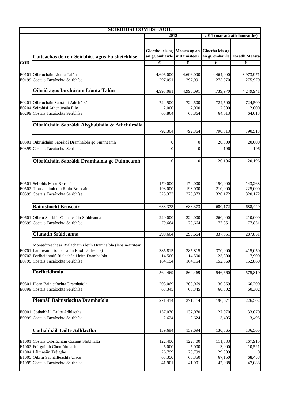|            | <b>SEIRBHISI COMHSHAOIL</b>                                                                                                                                                                                               |                                                |                                                |                                                |                                       |  |
|------------|---------------------------------------------------------------------------------------------------------------------------------------------------------------------------------------------------------------------------|------------------------------------------------|------------------------------------------------|------------------------------------------------|---------------------------------------|--|
|            |                                                                                                                                                                                                                           | 2012                                           |                                                |                                                | 2011 (mar atá athshonraithe)          |  |
|            | Caiteachas de réir Seirbhíse agus Fo-sheirbhíse                                                                                                                                                                           | Glactha leis ag Measta ag an<br>an gComhairle  | mBainisteoir                                   | Glactha leis ag                                | an gComhairle Toradh Measta           |  |
| <u>CÓD</u> |                                                                                                                                                                                                                           | $\epsilon$                                     | €                                              | $\epsilon$                                     | $\epsilon$                            |  |
|            | E0101 Oibriúcháin Líonta Talún<br>E0199 Costais Tacaíochta Seirbhíse                                                                                                                                                      | 4,696,000<br>297,091                           | 4,696,000<br>297,091                           | 4,464,000<br>275,970                           | 3,973,971<br>275,970                  |  |
|            | Oibriú agus Iarchúram Líonta Talún                                                                                                                                                                                        | 4,993,091                                      | 4,993,091                                      | 4,739,970                                      | 4,249,941                             |  |
|            | E0201 Oibriúcháin Saoráidí Athchúrsála<br>E0204 Seirbhísí Athchúrsála Eile<br>E0299 Costais Tacaíochta Seirbhíse                                                                                                          | 724,500<br>2,000<br>65,864                     | 724,500<br>2,000<br>65,864                     | 724,500<br>2,300<br>64,013                     | 724,500<br>2,000<br>64,013            |  |
|            | Oibriúcháin Saoráidí Aisghabhála & Athchúrsála                                                                                                                                                                            |                                                |                                                |                                                |                                       |  |
|            | E0301 Oibriúcháin Saoráidí Dramhaíola go Fuinneamh<br>E0399 Costais Tacaíochta Seirbhíse                                                                                                                                  | 792,364<br>0<br>0                              | 792,364                                        | 790,813<br>20,000<br>196                       | 790,513<br>20,000<br>196              |  |
|            | Oibriúcháin Saoráidí Dramhaíola go Fuinneamh                                                                                                                                                                              | $\Omega$                                       | $\theta$                                       | 20,196                                         | 20,196                                |  |
|            | E0501 Seirbhís Maor Bruscair<br>E0502 Tionscnaimh um Rialú Bruscair<br>E0599 Costais Tacaíochta Seirbhíse                                                                                                                 | 170,000<br>193,000<br>325,373                  | 170,000<br>193,000<br>325,373                  | 150,000<br>210,000<br>320,172                  | 143,268<br>225,000<br>320,172         |  |
|            | <b>Bainistíocht Bruscair</b>                                                                                                                                                                                              | 688,373                                        | 688,373                                        | 680,172                                        | 688,440                               |  |
|            | E0601 Oibriú Seirbhís Glantacháin Sráideanna<br>E0699 Costais Tacaíochta Seirbhíse                                                                                                                                        | 220,000<br>79,664                              | 220,000<br>79,664                              | 260,000<br>77,851                              | 210,000<br>77,851                     |  |
|            | <b>Glanadh Sráideanna</b>                                                                                                                                                                                                 | 299,664                                        | 299,664                                        | 337,851                                        | 287,851                               |  |
|            | Monatóireacht ar Rialacháin i leith Dramhaíola (lena n-áirítear<br>E0701 Láithreáin Líonta Talún Príobháideacha)<br>E0702 Forfheidhmiú Rialachán i leith Dramhaíola<br>E0799 Costais Tacaíochta Seirbhíse<br>Forfheidhmiú | 385,815<br>14,500<br>164,154                   | 385,815<br>14,500<br>164,154                   | 370,000<br>23,800<br>152,860                   | 415,050<br>7,900<br>152,860           |  |
|            |                                                                                                                                                                                                                           | 564,469                                        | 564,469                                        | 546,660                                        | 575,810                               |  |
|            | E0801 Plean Bainistíochta Dramhaíola<br>E0899 Costais Tacaíochta Seirbhíse                                                                                                                                                | 203,069<br>68,345                              | 203,069<br>68,345                              | 130,369<br>60,302                              | 166,200<br>60,302                     |  |
|            | Pleanáil Bainistíochta Dramhaíola                                                                                                                                                                                         | 271,414                                        | 271,414                                        | 190,671                                        | 226,502                               |  |
|            | E0901 Cothabháil Tailte Adhlactha<br>E0999 Costais Tacaíochta Seirbhíse                                                                                                                                                   | 137,070<br>2,624                               | 137,070<br>2,624                               | 127,070<br>3,495                               | 133,070<br>3,495                      |  |
|            | Cothabháil Tailte Adhlactha                                                                                                                                                                                               | 139,694                                        | 139,694                                        | 130,565                                        | 136,565                               |  |
|            | E1001 Costais Oibriúcháin Cosaint Shibhialta<br>E1002 Foirgnimh Chontúirteacha<br>E1004 Láithreáin Tréigthe<br>E1005 Oibriú Sábháilteachta Uisce<br>E1099 Costais Tacaíochta Seirbhíse                                    | 122,400<br>5,000<br>26,799<br>68,350<br>41,901 | 122,400<br>5,000<br>26,799<br>68,350<br>41,901 | 111,333<br>3,000<br>29,909<br>67,150<br>47,088 | 167,915<br>10,521<br>68,458<br>47,088 |  |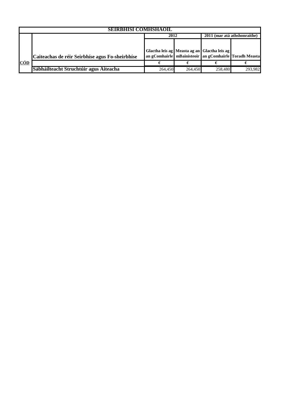|            | <b>SEIRBHISI COMHSHAOIL</b>                     |         |         |                                                              |         |  |  |
|------------|-------------------------------------------------|---------|---------|--------------------------------------------------------------|---------|--|--|
|            |                                                 | 2012    |         | 2011 (mar atá athshonraithe)                                 |         |  |  |
|            |                                                 |         |         |                                                              |         |  |  |
|            |                                                 |         |         | Glactha leis ag Measta ag an Glactha leis ag                 |         |  |  |
|            | Caiteachas de réir Seirbhíse agus Fo-sheirbhíse |         |         | an gComhairle   mBainisteoir   an gComhairle   Toradh Measta |         |  |  |
| <b>CÓD</b> |                                                 |         |         |                                                              |         |  |  |
|            | Sábháilteacht Struchtúir agus Áiteacha          | 264,450 | 264,450 | 258,480                                                      | 293.982 |  |  |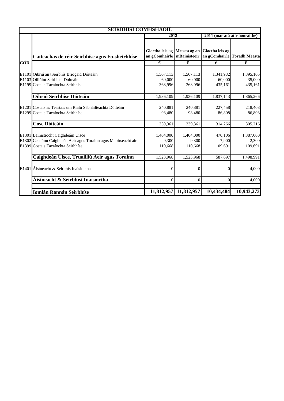|            | <b>SEIRBHISI COMHSHAOIL</b>                                                                                                                 |                                |                                |                                                               |                                |
|------------|---------------------------------------------------------------------------------------------------------------------------------------------|--------------------------------|--------------------------------|---------------------------------------------------------------|--------------------------------|
|            |                                                                                                                                             | 2012                           |                                |                                                               | 2011 (mar atá athshonraithe)   |
|            | Caiteachas de réir Seirbhíse agus Fo-sheirbhíse                                                                                             | an gComhairle mBainisteoir     |                                | Glactha leis ag Measta ag an Glactha leis ag<br>an gComhairle | <b>Toradh Measta</b>           |
| <b>CÓD</b> |                                                                                                                                             | $\epsilon$                     | $\epsilon$                     | €                                                             | €                              |
|            | E1101 Oibriú an tSeirbhís Briogáid Dóiteáin<br>E1103 Oiliúint Seirbhísí Dóiteáin<br>E1199 Costais Tacaíochta Seirbhíse                      | 1,507,113<br>60,000<br>368,996 | 1,507,113<br>60,000<br>368,996 | 1,341,982<br>60,000<br>435,161                                | 1,395,105<br>35,000<br>435,161 |
|            | Oibriú Seirbhíse Dóiteáin                                                                                                                   | 1,936,109                      | 1,936,109                      | 1,837,143                                                     | 1,865,266                      |
|            | E1201 Costais as Teastais um Rialú Sábháilteachta Dóiteáin<br>E1299 Costais Tacaíochta Seirbhíse                                            | 240,881<br>98,480              | 240,881<br>98,480              | 227,458<br>86.808                                             | 218,408<br>86,808              |
|            | <b>Cosc Dóiteáin</b>                                                                                                                        | 339,361                        | 339,361                        | 314,266                                                       | 305,216                        |
|            | E1301 Bainistíocht Caighdeáin Uisce<br>E1302 Ceadúnú Caighdeán Aeir agus Torainn agus Maoirseacht air<br>E1399 Costais Tacaíochta Seirbhíse | 1,404,000<br>9,300<br>110,668  | 1,404,000<br>9,300<br>110,668  | 470,106<br>7,900<br>109,691                                   | 1,387,000<br>2,300<br>109,691  |
|            | Caighdeán Uisce, Truailliú Aeir agus Torainn                                                                                                | 1,523,968                      | 1,523,968                      | 587,697                                                       | 1,498,991                      |
|            | E1401 Áisíneacht & Seirbhís Inaisíoctha                                                                                                     | 0                              |                                |                                                               | 4,000                          |
|            | Áisíneacht & Seirbhísí Inaisíoctha                                                                                                          | $\Omega$                       | $\mathbf{0}$                   | $\Omega$                                                      | 4,000                          |
|            | Iomlán Rannán Seirbhíse                                                                                                                     |                                | 11,812,957 11,812,957          | 10,434,484                                                    | 10,943,273                     |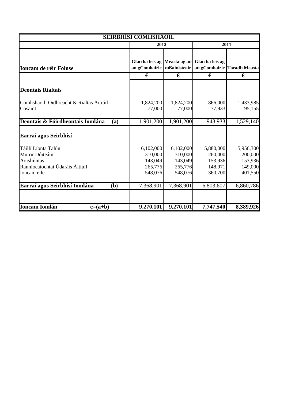| <b>SEIRBHÍSÍ COMHSHAOIL</b>                           |                                                              |                                 |                                 |                                 |  |  |
|-------------------------------------------------------|--------------------------------------------------------------|---------------------------------|---------------------------------|---------------------------------|--|--|
|                                                       |                                                              | 2012                            |                                 | 2011                            |  |  |
| <b>Ioncam de réir Foinse</b>                          | Glactha leis ag Measta ag an<br>an gComhairle   mBainisteoir |                                 | Glactha leis ag                 | an gComhairle Toradh Measta     |  |  |
|                                                       | €                                                            | €                               | €                               | €                               |  |  |
| <b>Deontais Rialtais</b>                              |                                                              |                                 |                                 |                                 |  |  |
| Comhshaoil, Oidhreacht & Rialtas Áitiúil<br>Cosaint   | 1,824,200<br>77,000                                          | 1,824,200<br>77,000             | 866,000<br>77,933               | 1,433,985<br>95,155             |  |  |
| Deontais & Fóirdheontais Iomlána<br>(a)               | 1,901,200                                                    | 1,901,200                       | 943,933                         | 1,529,140                       |  |  |
| Earraí agus Seirbhísí                                 |                                                              |                                 |                                 |                                 |  |  |
| Táillí Líonta Talún<br>Muirir Dóiteáin<br>Aoisliúntas | 6,102,000<br>310,000<br>143,049                              | 6,102,000<br>310,000<br>143,049 | 5,880,000<br>260,000<br>153,936 | 5,956,300<br>200,000<br>153,936 |  |  |
| Ranníocaíochtaí Údaráis Áitiúil<br>Ioncam eile        | 265,776<br>548,076                                           | 265,776<br>548,076              | 148,971<br>360,700              | 149,000<br>401,550              |  |  |
| Earraí agus Seirbhísí Iomlána<br>(b)                  | 7,368,901                                                    | 7,368,901                       | 6,803,607                       | 6,860,786                       |  |  |
| <b>Ioncam Iomlán</b><br>$c=(a+b)$                     | 9,270,101                                                    | 9,270,101                       | 7,747,540                       | 8,389,926                       |  |  |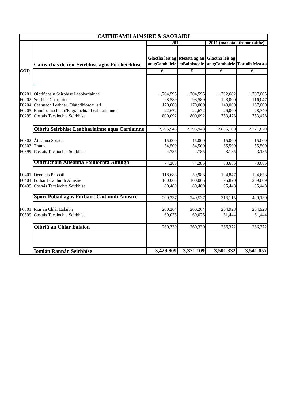| <b>CAITHEAMH AIMSIRE &amp; SAORAIDI</b> |                                                                                                 |                                                                                     |                             |                                          |                              |
|-----------------------------------------|-------------------------------------------------------------------------------------------------|-------------------------------------------------------------------------------------|-----------------------------|------------------------------------------|------------------------------|
|                                         |                                                                                                 | 2012                                                                                |                             |                                          | 2011 (mar atá athshonraithe) |
|                                         | Caiteachas de réir Seirbhíse agus Fo-sheirbhíse                                                 | Glactha leis ag Measta ag an<br>an gComhairle mBainisteoir<br>$\overline{\epsilon}$ |                             | Glactha leis ag<br>$\overline{\epsilon}$ | an gComhairle Toradh Measta  |
| CÓD                                     |                                                                                                 |                                                                                     | $\overline{\epsilon}$       |                                          | $\overline{\epsilon}$        |
|                                         | F0201 Oibriúcháin Seirbhíse Leabharlainne                                                       | 1,704,595                                                                           | 1,704,595                   | 1,792,682                                | 1,707,005                    |
|                                         | F0202 Seirbhís Chartlainne                                                                      | 98,589                                                                              | 98,589                      | 123,000                                  | 116,047                      |
|                                         | F0204 Ceannach Leabhar, Dlúthdhioscaí, srl.                                                     | 170,000                                                                             | 170,000                     | 140,000                                  | 167,000                      |
|                                         | F0205 Ranníocaíochtaí d'Eagraíochtaí Leabharlainne                                              | 22,672                                                                              | 22,672                      | 26,000                                   | 28,340                       |
|                                         | F0299 Costais Tacaíochta Seirbhíse                                                              | 800,092                                                                             | 800,092                     | 753,478                                  | 753,478                      |
|                                         | Oibriú Seirbhíse Leabharlainne agus Cartlainne                                                  | 2,795,948                                                                           | 2,795,948                   | 2,835,160                                | 2,771,870                    |
|                                         | F0302 Áiteanna Spraoi<br>F0303 Tránna<br>F0399 Costais Tacaíochta Seirbhíse                     | 15,000<br>54,500<br>4,785                                                           | 15,000<br>54,500<br>4,785   | 15,000<br>65,500<br>3,185                | 15,000<br>55,500<br>3,185    |
|                                         | Oibriúcháin Aiteanna Fóillíochta Amuigh                                                         | 74,285                                                                              | 74,285                      | 83,685                                   | 73,685                       |
|                                         | F0401 Deontais Phobail<br>F0404 Forbairt Caithimh Aimsire<br>F0499 Costais Tacaíochta Seirbhíse | 118,683<br>100,065<br>80,489                                                        | 59,983<br>100,065<br>80,489 | 124,847<br>95,820<br>95,448              | 124,673<br>209,009<br>95,448 |
|                                         | Spórt Pobail agus Forbairt Caithimh Aimsire                                                     | 299,237                                                                             | 240,537                     | 316,115                                  | 429,130                      |
|                                         | F0501 Riar an Chlár Ealaíon<br>F0599 Costais Tacaíochta Seirbhíse                               | 200,264<br>60,075                                                                   | 200,264<br>60,075           | 204,928<br>61,444                        | 204,928<br>61,444            |
|                                         | Oibriú an Chlár Ealaíon                                                                         | 260,339                                                                             | 260,339                     | 266,372                                  | 266,372                      |
|                                         | <b>Iomlán Rannán Seirbhíse</b>                                                                  | 3,429,809                                                                           | 3,371,109                   | 3,501,332                                | 3,541,057                    |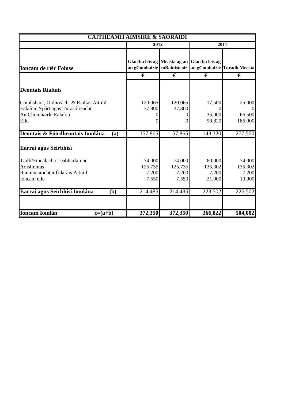| <b>CAITHEAMH AIMSIRE &amp; SAORÁIDÍ</b>                                      |                   |                   |                                                                                          |                  |  |
|------------------------------------------------------------------------------|-------------------|-------------------|------------------------------------------------------------------------------------------|------------------|--|
|                                                                              | 2012              |                   |                                                                                          | 2011             |  |
| <b>Ioncam de réir Foinse</b>                                                 | an gComhairle     |                   | Glactha leis ag Measta ag an Glactha leis ag<br>mBainisteoir an gComhairle Toradh Measta |                  |  |
|                                                                              | €                 | €                 | €                                                                                        | €                |  |
| <b>Deontais Rialtais</b>                                                     |                   |                   |                                                                                          |                  |  |
| Comhshaol, Oidhreacht & Rialtas Áitiúil<br>Ealaíon, Spórt agus Turasóireacht | 120,065<br>37,800 | 120,065<br>37,800 | 17,500                                                                                   | 25,000           |  |
| An Chomhairle Ealaíon                                                        |                   |                   | 35,000                                                                                   | 66,500           |  |
| Eile                                                                         |                   |                   | 90,820                                                                                   | 186,000          |  |
| Deontais & Fóirdheontais Iomlána<br>(a)                                      | 157,865           | 157,865           | 143,320                                                                                  | 277,500          |  |
| Earraí agus Seirbhísí                                                        |                   |                   |                                                                                          |                  |  |
| Táillí/Fíneálacha Leabharlainne                                              | 74,000            | 74,000            | 60,000                                                                                   | 74,000           |  |
| Aoisliúntas<br>Ranníocaíochtaí Údaráis Áitiúil                               | 125,735<br>7,200  | 125,735<br>7,200  | 135,302<br>7,200                                                                         | 135,302<br>7,200 |  |
| Ioncam eile                                                                  | 7,550             | 7,550             | 21,000                                                                                   | 10,000           |  |
| Earraí agus Seirbhísí Iomlána<br>(b)                                         | 214,485           | 214,485           | 223,502                                                                                  | 226,502          |  |
| <b>Ioncam Iomlán</b><br>$c=(a+b)$                                            | 372,350           | 372,350           | 366,822                                                                                  | 504,002          |  |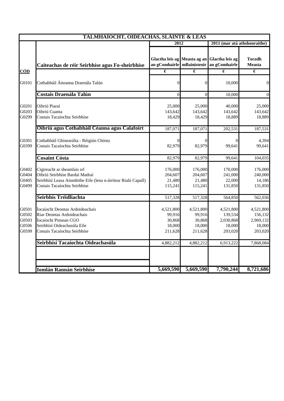|                                           | <b>TALMHAÍOCHT, OIDEACHAS, SLÁINTE &amp; LEAS</b>                                                                                                              |                                                            |                                                    |                                                        |                                                        |
|-------------------------------------------|----------------------------------------------------------------------------------------------------------------------------------------------------------------|------------------------------------------------------------|----------------------------------------------------|--------------------------------------------------------|--------------------------------------------------------|
|                                           |                                                                                                                                                                | 2012                                                       |                                                    | 2011 (mar atá athshonraithe)                           |                                                        |
|                                           | Caiteachas de réir Seirbhíse agus Fo-sheirbhíse                                                                                                                | Glactha leis ag Measta ag an<br>an gComhairle mBainisteoir |                                                    | Glactha leis ag<br>an gComhairle                       | <b>Toradh</b><br><b>Measta</b>                         |
| <b>CÓD</b>                                |                                                                                                                                                                | €                                                          | €                                                  | €                                                      | €                                                      |
| G0101                                     | Cothabháil Áiteanna Draenála Talún                                                                                                                             | $\theta$                                                   | $\Omega$                                           | 10,000                                                 | $\overline{0}$                                         |
|                                           | <b>Costais Draenála Talún</b>                                                                                                                                  | $\overline{0}$                                             | $\theta$                                           | 10,000                                                 | $\mathbf{0}$                                           |
| G0201<br>G0203<br>G0299                   | Oibriú Piaraí<br>Oibriú Cuanta<br>Costais Tacaíochta Seirbhíse                                                                                                 | 25,000<br>143,642<br>18,429                                | 25,000<br>143,642<br>18,429                        | 40,000<br>143,642<br>18,889                            | 25,000<br>143,642<br>18,889                            |
|                                           | Oibriú agus Cothabháil Céanna agus Calafoirt                                                                                                                   | 187,071                                                    | 187,071                                            | 202,531                                                | 187,531                                                |
| G0301<br>G0399                            | Cothabháil Ghinearálta - Réigiún Chósta<br>Costais Tacaíochta Seirbhíse                                                                                        | $\Omega$<br>82,979                                         | 82,979                                             | $\Omega$<br>99,641                                     | 4,394<br>99,641                                        |
|                                           | <b>Cosaint Cósta</b>                                                                                                                                           | 82,979                                                     | 82,979                                             | 99,641                                                 | 104,035                                                |
| G0402<br>G0404<br>G0405<br>G0499          | Cigireacht ar sheamlais srl<br>Oibriú Seirbhíse Bardaí Madraí<br>Seirbhísí Leasa Ainmhithe Eile (lena n-áirítear Rialú Capall)<br>Costais Tacaíochta Seirbhíse | 176,000<br>204,607<br>21,480<br>115,241                    | 176,000<br>204,607<br>21,480<br>115,241            | 170,000<br>241,000<br>22,000<br>131,850                | 176,000<br>240,000<br>14,186<br>131,850                |
|                                           | Seirbhís Tréidliachta                                                                                                                                          | 517,328                                                    | 517,328                                            | 564,850                                                | 562,036                                                |
| G0501<br>G0502<br>G0503<br>G0506<br>G0599 | Íocaíocht Deontas Ardoideachais<br>Riar Deontas Ardoideachais<br>Íocaíocht Pinsean CGO<br>Seirbhísí Oideachasúla Eile<br>Costais Tacaíochta Seirbhíse          | 4,521,800<br>99,916<br>30,868<br>18,000<br>211,628         | 4,521,800<br>99,916<br>30,868<br>18,000<br>211,628 | 4,521,800<br>139,534<br>2,030,868<br>18,000<br>203,020 | 4,521,800<br>156,132<br>2,969,132<br>18,000<br>203,020 |
|                                           | Seirbhísí Tacaíochta Oideachasúla                                                                                                                              | 4,882,212                                                  | 4,882,212                                          | 6,913,222                                              | 7,868,084                                              |
|                                           |                                                                                                                                                                |                                                            |                                                    |                                                        |                                                        |
|                                           | <b>Iomlán Rannán Seirbhíse</b>                                                                                                                                 | 5,669,590                                                  | 5,669,590                                          | 7,790,244                                              | 8,721,686                                              |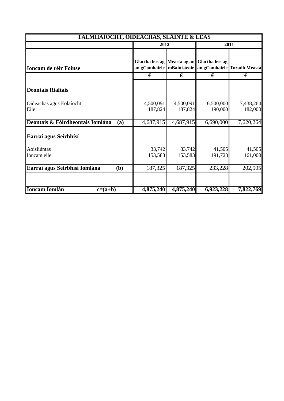| 2012                 |   |                                                | 2011                                                                                                                                                                                                                                   |  |
|----------------------|---|------------------------------------------------|----------------------------------------------------------------------------------------------------------------------------------------------------------------------------------------------------------------------------------------|--|
|                      |   |                                                |                                                                                                                                                                                                                                        |  |
| €                    | € | €                                              | €                                                                                                                                                                                                                                      |  |
|                      |   |                                                |                                                                                                                                                                                                                                        |  |
| 4,500,091<br>187,824 |   | 6,500,000<br>190,000                           | 7,438,264<br>182,000                                                                                                                                                                                                                   |  |
|                      |   | 6,690,000                                      | 7,620,264                                                                                                                                                                                                                              |  |
|                      |   |                                                |                                                                                                                                                                                                                                        |  |
| 33,742<br>153,583    |   | 41,505<br>191,723                              | 41,505<br>161,000                                                                                                                                                                                                                      |  |
| 187,325              |   | 233,228                                        | 202,505                                                                                                                                                                                                                                |  |
|                      |   |                                                | 7,822,769                                                                                                                                                                                                                              |  |
|                      |   | 4,500,091<br>187,824<br>4,687,915<br>4,875,240 | <b>TALMHAÍOCHT, OIDEACHAS, SLÁINTE &amp; LEAS</b><br>Glactha leis ag Measta ag an Glactha leis ag<br>an gComhairle   mBainisteoir   an gComhairle Toradh Measta<br>4,687,915<br>33,742<br>153,583<br>187,325<br>4,875,240<br>6,923,228 |  |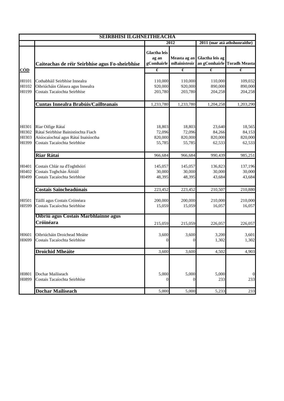| <b>SEIRBHISI ILGHNEITHEACHA</b>  |                                                                                                                                   |                                            |                                       |                                       |                                       |
|----------------------------------|-----------------------------------------------------------------------------------------------------------------------------------|--------------------------------------------|---------------------------------------|---------------------------------------|---------------------------------------|
|                                  |                                                                                                                                   |                                            | 2012                                  | 2011 (mar atá athshonraithe)          |                                       |
|                                  | Caiteachas de réir Seirbhíse agus Fo-sheirbhíse                                                                                   | <b>Glactha leis</b><br>ag an<br>gComhairle | Measta ag an<br>mBainisteoir          | Glactha leis ag                       | an gComhairle Toradh Measta           |
| <b>CÓD</b>                       |                                                                                                                                   | €                                          | $\epsilon$                            | $\epsilon$                            | €                                     |
| H0101<br>H0102<br>H0199          | Cothabháil Seirbhíse Innealra<br>Oibriúcháin Gléasra agus Innealra<br>Costais Tacaíochta Seirbhíse                                | 110,000<br>920,000<br>203,780              | 110,000<br>920,000<br>203,780         | 110,000<br>890,000<br>204,258         | 109,032<br>890,000<br>204,258         |
|                                  | Cuntas Innealra Brabúis/Caillteanais                                                                                              | 1,233,780                                  | 1,233,780                             | 1,204,258                             | 1,203,290                             |
| H0301<br>H0302<br>H0303<br>H0399 | Riar Oifige Rátaí<br>Rátaí Seirbhíse Bainistíochta Fiach<br>Aisíocaíochtaí agus Rátaí Inaisíoctha<br>Costais Tacaíochta Seirbhíse | 18,803<br>72,096<br>820,000<br>55,785      | 18,803<br>72,096<br>820,000<br>55,785 | 23,640<br>84,266<br>820,000<br>62,533 | 18,565<br>84,153<br>820,000<br>62,533 |
|                                  | Riar Rátaí                                                                                                                        | 966,684                                    | 966,684                               | 990,439                               | 985,251                               |
| H0401<br>H0402<br>H0499          | Costais Chlár na dToghthóirí<br>Costais Toghchán Áitiúil<br>Costais Tacaíochta Seirbhíse                                          | 145,057<br>30,000<br>48,395                | 145,057<br>30,000<br>48,395           | 136,823<br>30,000<br>43,684           | 137,196<br>30,000<br>43,684           |
|                                  | <b>Costais Saincheadúnais</b>                                                                                                     | 223,452                                    | 223,452                               | 210,507                               | 210,880                               |
| H0501<br>H0599                   | Táillí agus Costais Cróinéara<br>Costais Tacaíochta Seirbhíse                                                                     | 200,000<br>15,059                          | 200,000<br>15,059                     | 210,000<br>16,057                     | 210,000<br>16,057                     |
|                                  | Oibriú agus Costais Marbhlainne agus<br>Cróinéara                                                                                 | 215,059                                    | 215,059                               | 226,057                               | 226,057                               |
| H0601<br>H0699                   | Oibriúcháin Droichead Meáite<br>Costais Tacaíochta Seirbhíse                                                                      | 3,600<br>$^{(1)}$                          | 3,600<br>0                            | 3,200<br>1,302                        | 3,601<br>1,302                        |
|                                  | <b>Droichid Mheáite</b>                                                                                                           | 3,600                                      | 3,600                                 | 4,502                                 | 4,903                                 |
| H0801<br>H0899                   | Dochar Mailíseach<br>Costais Tacaíochta Seirbhíse                                                                                 | 5,000<br>0                                 | 5,000<br>$\theta$                     | 5,000<br>233                          | $\boldsymbol{0}$<br>233               |
|                                  | Dochar Mailíseach                                                                                                                 | 5,000                                      | 5,000                                 | 5,233                                 | 233                                   |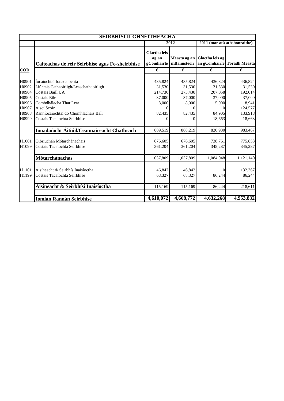| <b>SEIRBHISI ILGHNEITHEACHA</b> |                                                                      |                                                 |                            |                                   |                                  |
|---------------------------------|----------------------------------------------------------------------|-------------------------------------------------|----------------------------|-----------------------------------|----------------------------------|
|                                 |                                                                      | 2012                                            |                            | 2011 (mar atá athshonraithe)      |                                  |
| CÓD                             | Caiteachas de réir Seirbhíse agus Fo-sheirbhíse                      | <b>Glactha leis</b><br>ag an<br>gComhairle<br>€ | mBainisteoir<br>$\epsilon$ | Measta ag an Glactha leis ag<br>€ | an gComhairle Toradh Measta<br>€ |
|                                 |                                                                      |                                                 |                            |                                   |                                  |
| H0901<br>H0902                  | Íocaíochtaí Ionadaíochta<br>Liúntais Cathaoirligh/Leaschathaoirligh  | 435,824<br>31,530                               | 435,824<br>31,530          | 436,824<br>31,530                 | 436,824<br>31,530                |
| H0904<br>H0905                  | Costais Baill ÚÁ<br>Costais Eile                                     | 214,730<br>37,000                               | 273,430<br>37,000          | 207,058<br>37,000                 | 192,014<br>37,000                |
| H0906<br>H0907                  | Comhdhálacha Thar Lear<br>Aiscí Scoir                                | 8,000                                           | 8,000<br>0                 | 5,000<br>0                        | 8,941<br>124,577                 |
| H0908<br>H0999                  | Ranníocaíochtaí do Chomhlachais Ball<br>Costais Tacaíochta Seirbhíse | 82,435                                          | 82,435<br>$\Omega$         | 84,905<br>18,663                  | 133,918<br>18,663                |
|                                 | Ionadaíocht Áitiúil/Ceannaireacht Chathrach                          | 809,519                                         | 868,219                    | 820.980                           | 983,467                          |
| H1001<br>H1099                  | Oibriúchán Mótarchánachais<br>Costais Tacaíochta Seirbhíse           | 676,605<br>361,204                              | 676,605<br>361,204         | 738,761<br>345,287                | 775,853<br>345,287               |
|                                 | Mótarchánachas                                                       | 1,037,809                                       | 1,037,809                  | 1,084,048                         | 1,121,140                        |
| H1101<br>H1199                  | Áisíneacht & Seirbhís Inaisíoctha<br>Costais Tacaíochta Seirbhíse    | 46,842<br>68,327                                | 46,842<br>68,327           | 86,244                            | 132,367<br>86,244                |
|                                 | Áisíneacht & Seirbhísí Inaisíoctha                                   | 115,169                                         | 115,169                    | 86,244                            | 218,611                          |
|                                 | <b>Iomlán Rannán Seirbhíse</b>                                       | 4,610,072                                       | 4,668,772                  | 4,632,268                         | 4,953,832                        |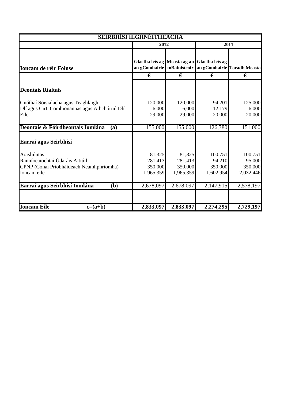| <b>SEIRBHÍSÍ ILGHNÉITHEACHA</b>                                                                           |                                           |                                           |                                              |                                                            |  |
|-----------------------------------------------------------------------------------------------------------|-------------------------------------------|-------------------------------------------|----------------------------------------------|------------------------------------------------------------|--|
|                                                                                                           | 2012                                      |                                           |                                              | 2011                                                       |  |
| <b>Ioncam de réir Foinse</b>                                                                              |                                           |                                           | Glactha leis ag Measta ag an Glactha leis ag | an gComhairle   mBainisteoir   an gComhairle Toradh Measta |  |
|                                                                                                           | €                                         | €                                         | €                                            | €                                                          |  |
| <b>Deontais Rialtais</b>                                                                                  |                                           |                                           |                                              |                                                            |  |
| Gnóthaí Sóisialacha agus Teaghlaigh<br>Dlí agus Cirt, Comhionannas agus Athchóiriú Dlí<br>Eile            | 120,000<br>6,000<br>29,000                | 120,000<br>6,000<br>29,000                | 94,201<br>12,179<br>20,000                   | 125,000<br>6,000<br>20,000                                 |  |
| Deontais & Fóirdheontais Iomlána<br>(a)                                                                   | 155,000                                   | 155,000                                   | 126,380                                      | 151,000                                                    |  |
| Earraí agus Seirbhísí                                                                                     |                                           |                                           |                                              |                                                            |  |
| Aoisliúntas<br>Ranníocaíochtaí Údaráis Áitiúil<br>CPNP (Cónaí Príobháideach Neamhphríomha)<br>Ioncam eile | 81,325<br>281,413<br>350,000<br>1,965,359 | 81,325<br>281,413<br>350,000<br>1,965,359 | 100,751<br>94,210<br>350,000<br>1,602,954    | 100,751<br>95,000<br>350,000<br>2,032,446                  |  |
| Earraí agus Seirbhísí Iomlána<br>(b)                                                                      | 2,678,097                                 | 2,678,097                                 | 2,147,915                                    | 2,578,197                                                  |  |
|                                                                                                           |                                           |                                           |                                              |                                                            |  |
| <b>Ioncam Eile</b><br>$c=(a+b)$                                                                           | 2,833,097                                 | 2,833,097                                 | 2,274,295                                    | 2,729,197                                                  |  |